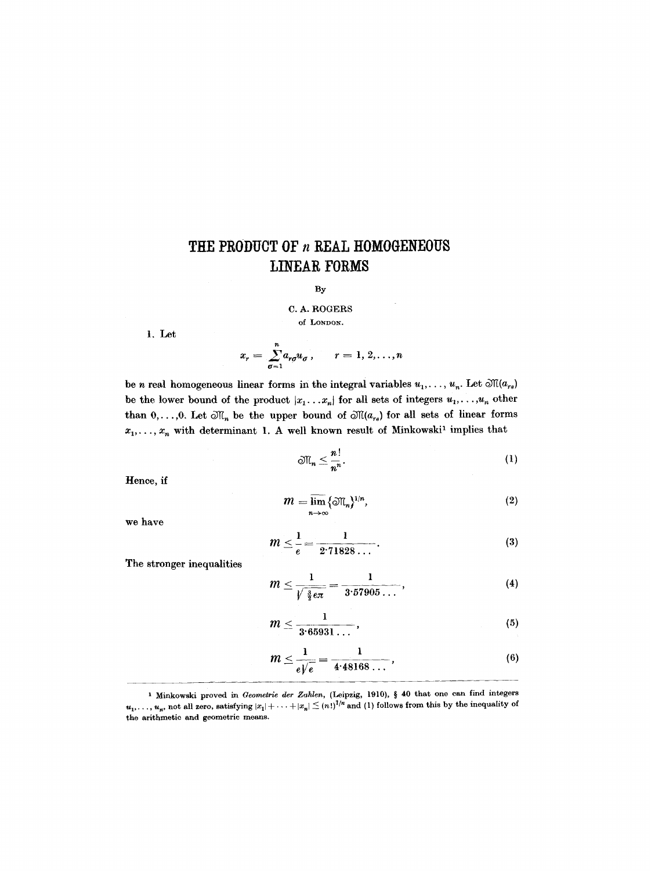## THE PRODUCT OF *n* REAL HOMOGENEOUS **LINEAR FORMS**

## By

C. A. ROGERS of LONDON.

1. Let

$$
x_r = \sum_{\sigma=1}^n a_{r\sigma} u_\sigma , \qquad r = 1, 2, \ldots, n
$$

be n real homogeneous linear forms in the integral variables  $u_1, \ldots, u_n$ . Let  $\mathfrak{M}(a_{rs})$ be the lower bound of the product  $|x_1...x_n|$  for all sets of integers  $u_1,...,u_n$  other than  $0, \ldots, 0$ . Let  $\mathfrak{M}_n$  be the upper bound of  $\mathfrak{M}(a_{rs})$  for all sets of linear forms  $x_1, \ldots, x_n$  with determinant 1. A well known result of Minkowski<sup>1</sup> implies that

$$
\mathfrak{M}_n \leq \frac{n!}{n^n}.\tag{1}
$$

Hence, if

$$
m = \overline{\lim}_{n \to \infty} {\{\mathfrak{M}_n\}}^{1/n}, \tag{2}
$$

we have

$$
m \leq \frac{1}{e} = \frac{1}{2.71828\ldots}.
$$
 (3)

The stronger inequalities

$$
m \leq \frac{1}{\sqrt{\frac{3}{2}e\pi}} = \frac{1}{3.57905\ldots},
$$
 (4)

$$
m \leq \frac{1}{3.65931\ldots},\tag{5}
$$

$$
m \leq \frac{1}{e\sqrt{e}} = \frac{1}{4.48168...},
$$
\n(6)

<sup>&</sup>lt;sup>1</sup> Minkowski proved in *Geometrie der Zahlen*, (Leipzig, 1910), § 40 that one can find integers  $u_1, \ldots, u_n$ , not all zero, satisfying  $|x_1| + \cdots + |x_n| \leq (n!)^{\frac{1}{n}}$  and (1) follows from this by the inequality of the arithmetic and geometric means.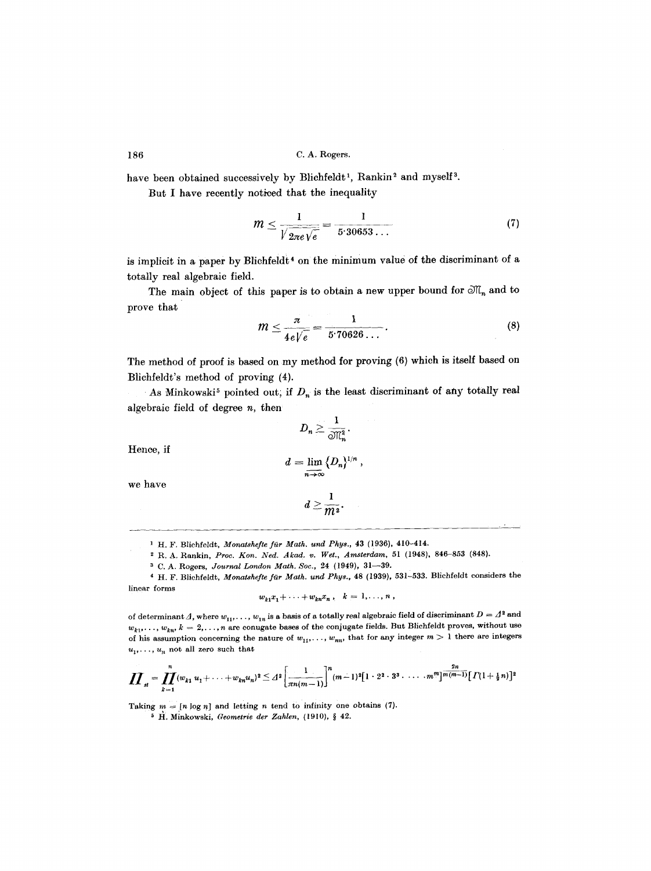have been obtained successively by Blichfeldt<sup>1</sup>, Rankin<sup>2</sup> and myself<sup>3</sup>.

But I have recently noticed that the inequality

$$
m \leq \frac{1}{\sqrt{\frac{2\pi e}{\sqrt{e}}}} = \frac{1}{5.30653\ldots} \tag{7}
$$

is implicit in a paper by Blichfeldt<sup>4</sup> on the minimum value of the discriminant of a totally real algebraic field.

The main object of this paper is to obtain a new upper bound for  $\mathfrak{M}_n$  and to prove that

$$
m \leq \frac{\pi}{4e\sqrt{e}} = \frac{1}{5.70626\ldots}.
$$
 (8)

The method of proof is based on my method for proving (6) which is itself based on Blichfeldt's method of proving (4).

As Minkowski<sup>5</sup> pointed out; if  $D_n$  is the least discriminant of any totally real algebraic field of degree  $n$ , then

 $D_n \geq \frac{1}{\mathcal{M}_n^2}.$ 

Hence, if

$$
d=\lim_{n\to\infty}\bigl\{D_n\bigr\}^{1/n}\ ,
$$

we have

$$
d\geq \frac{1}{m^2}.
$$

<sup>1</sup> H. F. Blichfeldt, *Monatshefte für Math. und Phys.*, 43 (1936), 410-414.

2 R. A. Rankin, *Prov. Kon. Ned. Akad. v. Wet., Amsterdam,* 51 (1948), 846-853 (848}.

a C. A. Rogers, *Journal London Math. Soc.,* 24 (1949), 31--39.

<sup>4</sup> H. F. Blichfeldt, *Monatshefte für Math. und Phys.*, 48 (1939), 531-533. Blichfeldt considers the linear forms

$$
w_{k1}x_1+\cdots+w_{kn}x_n, \quad k=1,\ldots,n,
$$

of determinant  $\Delta$ , where  $w_{11}, \ldots, w_{1n}$  is a basis of a totally real algebraic field of discriminant  $D = \Delta^2$  and  $w_{k1}, \ldots, w_{kn}, k = 2, \ldots, n$  are conugate bases of the conjugate fields. But Blichfeldt proves, without use of his assumption concerning the nature of  $w_{11}, \ldots, w_{nn}$ , that for any integer  $m > 1$  there are integers  $u_1, \ldots, u_n$  not all zero such that

$$
\prod_{st} = \prod_{k=1}^n (w_{k1} u_1 + \cdots + w_{kn} u_n)^2 \leq d^2 \left[ \frac{1}{\pi n (m-1)} \right]^n (m-1)^2 [1 \cdot 2^2 \cdot 3^3 \cdot \cdots \cdot m^m] \frac{2n}{m(m-1)} [ \Gamma(1+\tfrac{1}{2}n) ]^2
$$

Taking  $m = [n \log n]$  and letting n tend to infinity one obtains (7).

<sup>5</sup> H. Minkowski, *Geometrie der Zahlen*, (1910), § 42.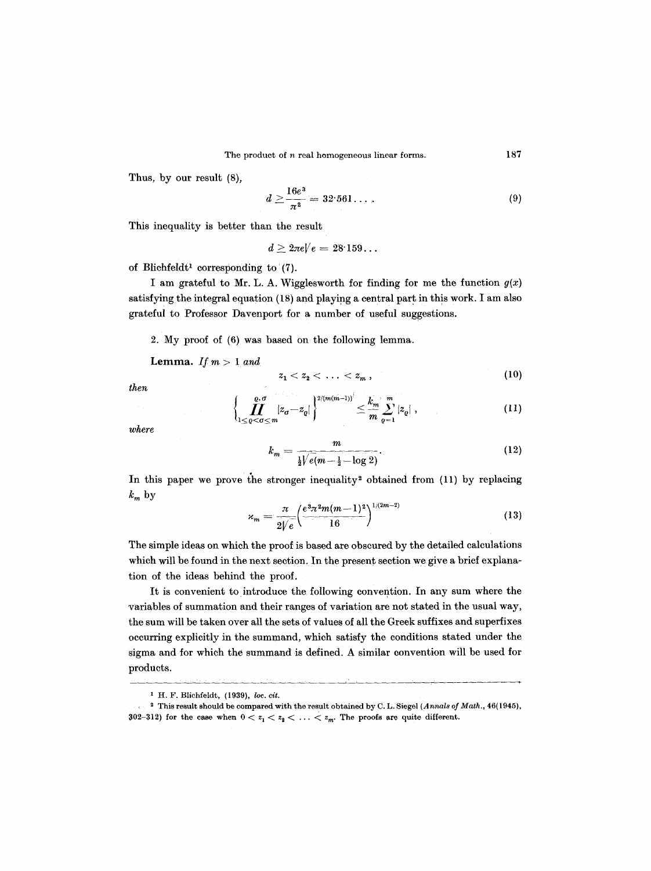Thus, by our result (8),

$$
d \ge \frac{16e^3}{\pi^2} = 32.561\dots \,. \tag{9}
$$

This inequality is better than the result

$$
d \geq 2\pi eV|e = 28^.159\dots
$$

of Blichfeldt<sup>1</sup> corresponding to  $(7)$ .

I am grateful to Mr. L. A. Wigglesworth for finding for me the function  $g(x)$ satisfying the integral equation (18) and playing a central part in this work. I am also grateful to Professor Davenport for a number of useful suggestions.

2. My proof of (6) was based on the following lemma.

Lemma. *If*  $m > 1$  and

$$
z_1 < z_2 < \ldots < z_m , \qquad (10)
$$

*then* 

$$
\left\{\prod_{1\leq\varrho<\sigma\leq m}|z_{\sigma}-z_{\varrho}|\right\}^{2/(m(m-1))'}\leq\frac{k_{m}}{m}\sum_{\varrho=1}^{m}|z_{\varrho}| \;,\tag{11}
$$

*where* 

$$
k_m = \frac{m}{\frac{1}{2}\sqrt{e(m - \frac{1}{2} - \log 2)}}.\t(12)
$$

In this paper we prove the stronger inequality<sup>2</sup> obtained from  $(11)$  by replacing  $k_m$  by

$$
x_m = \frac{\pi}{2\sqrt{e}} \left(\frac{e^{3} \pi^2 m (m-1)^2}{16}\right)^{1/(2m-2)}
$$
(13)

The simple ideas on which the proof is based are obscured by the detailed calculations which will be found in the next section. In the present section we give a brief explanation of the ideas behind the proof.

It is convenient to introduce the following convention. In any sum where the variables of summation and their ranges of variation are not stated in the usual way, the sum will be taken over all the sets of values of all the Greek suffixes and superfixes occurring explicitly in the summand, which satisfy the conditions stated under the sigma and for which the summand is defined. A similar convention will be used for products.

<sup>&</sup>lt;sup>1</sup> H. F. Blichfeldt, (1939), *loc. cit.* 

<sup>~</sup> This result should be compared with the result obtained by C. L. Siegel *(Annals of Math.,* 46(1945), 302-312) for the case when  $0 < z_1 < z_2 < \ldots < z_m$ . The proofs are quite different.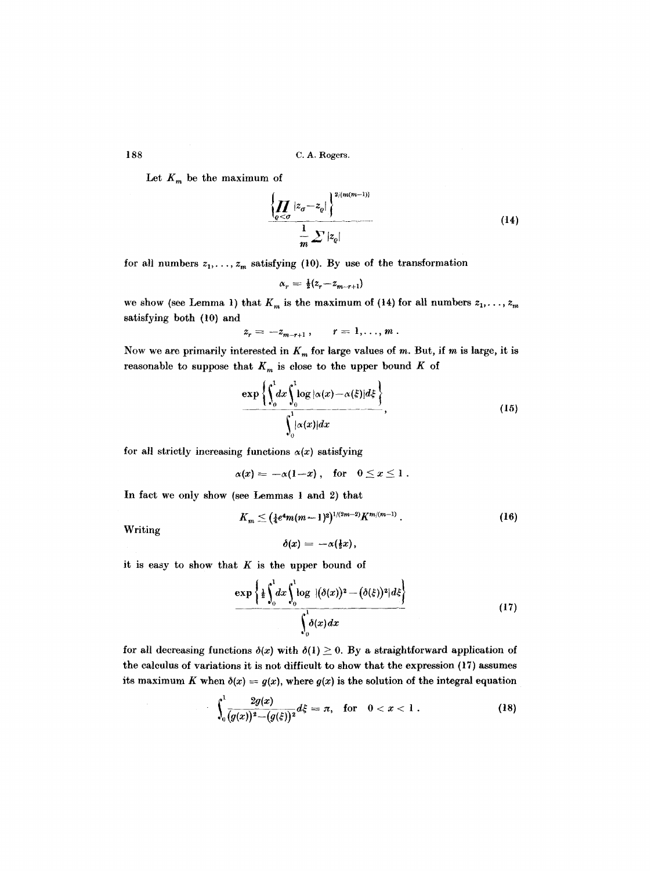Let  $K_m$  be the maximum of

$$
\left\{\prod_{\varrho<\sigma}|z_{\sigma}-z_{\varrho}|\right\}^{2/(m(m-1))}
$$
\n
$$
\frac{1}{m}\sum|z_{\varrho}|
$$
\n(14)

for all numbers  $z_1, \ldots, z_m$  satisfying (10). By use of the transformation

$$
\alpha_r = \tfrac{1}{2}(z_r - z_{m-r+1})
$$

we show (see Lemma 1) that  $K_m$  is the maximum of (14) for all numbers  $z_1, \ldots, z_m$ satisfying both (10) and

$$
z_r=-z_{m-r+1},\qquad r=1,\ldots,m.
$$

Now we are primarily interested in  $K_m$  for large values of m. But, if m is large, it is reasonable to suppose that  $K_m$  is close to the upper bound K of

$$
\frac{\exp\left\{\int_0^1 dx \int_0^1 \log |\alpha(x) - \alpha(\xi)| d\xi\right\}}{\int_0^1 |\alpha(x)| dx},
$$
\n(15)

for all strictly increasing functions  $\alpha(x)$  satisfying

$$
\alpha(x) = -\alpha(1-x), \quad \text{for} \quad 0 \leq x \leq 1.
$$

In fact we only show (see Lemmas 1 and 2) that

$$
K_m \leq (\frac{1}{4}e^4m(m-1)^2)^{1/(2m-2)}K^{m/(m-1)}.
$$
 (16)

Writing

$$
\delta(x) = -\alpha(\frac{1}{2}x),
$$

it is easy to show that  $K$  is the upper bound of

 $\bar{z}$ 

$$
\frac{\exp\left\{\frac{1}{2}\int_0^1 dx \int_0^1 \log\ |\left(\delta(x)\right)^2 - \left(\delta(\xi)\right)^2\|d\xi\right\}}{\int_0^1 \delta(x)dx}
$$
\n(17)

for all decreasing functions  $\delta(x)$  with  $\delta(1) \geq 0$ . By a straightforward application of the calculus of variations it is not difficult to show that the expression (17) assumes its maximum K when  $\delta(x) = g(x)$ , where  $g(x)$  is the solution of the integral equation

$$
\int_0^1 \frac{2g(x)}{(g(x))^2 - (g(\xi))^2} d\xi = \pi, \text{ for } 0 < x < 1.
$$
 (18)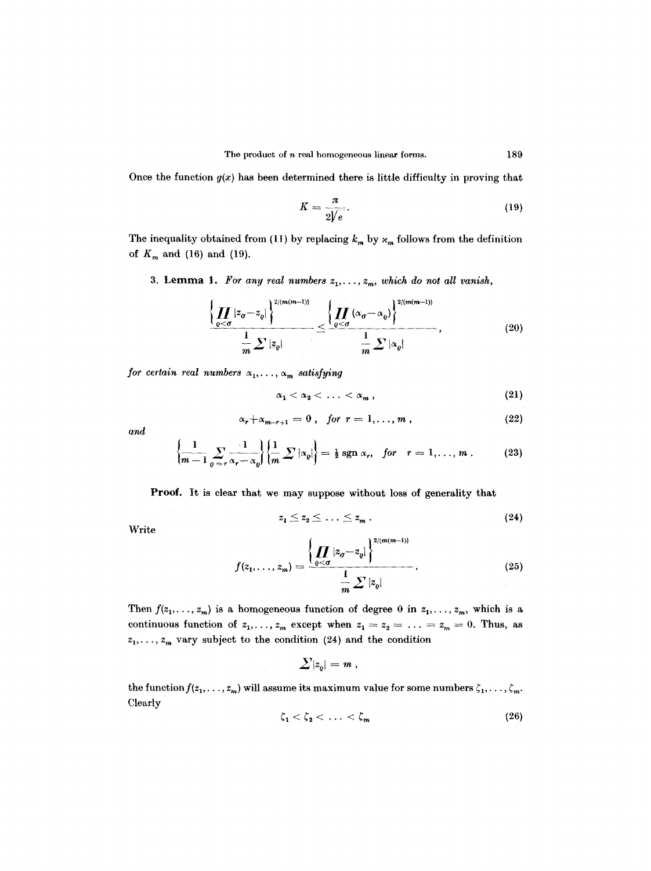Once the function  $g(x)$  has been determined there is little difficulty in proving that

$$
K = \frac{\pi}{2\sqrt{e}}.\tag{19}
$$

The inequality obtained from (11) by replacing  $k_m$  by  $\varkappa_m$  follows from the definition of  $K_m$  and (16) and (19).

3. Lemma 1. For any real numbers  $z_1, \ldots, z_m$ , which do not all vanish,

$$
\frac{\left\{\prod_{\varrho<\sigma}|z_{\sigma}-z_{\varrho}|\right\}^{2/(m(m-1))}}{\frac{1}{m}\sum|z_{\varrho}|}\leq \frac{\left\{\prod_{\varrho<\sigma}(\alpha_{\sigma}-\alpha_{\varrho})\right\}^{2/(m(m-1))}}{\frac{1}{m}\sum|\alpha_{\varrho}|},\tag{20}
$$

*for certain real numbers*  $\alpha_1, \ldots, \alpha_m$  *satisfying* 

$$
\alpha_1 < \alpha_2 < \ldots < \alpha_m \, , \tag{21}
$$

$$
\alpha_r + \alpha_{m-r+1} = 0, \quad \text{for} \quad r = 1, \ldots, m \,, \tag{22}
$$

and

$$
\left\{\frac{1}{m-1}\sum_{\varrho= r} \frac{1}{\alpha_r-\alpha_\varrho}\right\}\left\{\frac{1}{m}\sum |\alpha_\varrho|\right\}=\tfrac{1}{2}\,\mathrm{sgn}\,\alpha_r,\quad \text{for}\quad r=1,\ldots,m\,.
$$
 (23)

Proof. It is clear that we may suppose without loss of generality that

$$
z_1 \leq z_2 \leq \ldots \leq z_m \,.
$$

Write

$$
f(z_1, \ldots, z_m) = \frac{\left\{ \prod_{\varrho < \sigma} |z_{\sigma} - z_{\varrho}| \right\}^{2/(m(m-1))}}{\prod_{m} \sum |z_{\varrho}|}.
$$
\n(25)

Then  $f(z_1, \ldots, z_m)$  is a homogeneous function of degree 0 in  $z_1, \ldots, z_m$ , which is a continuous function of  $z_1, \ldots, z_m$  except when  $z_1 = z_2 = \ldots = z_m = 0$ . Thus, as  $z_1, \ldots, z_m$  vary subject to the condition (24) and the condition

$$
|\sum |z^{}_{o}| = m \ ,
$$

the function  $f(z_1, \ldots, z_m)$  will assume its maximum value for some numbers  $\zeta_1, \ldots, \zeta_m$ . Clearly

$$
\zeta_1 < \zeta_2 < \ldots < \zeta_m \tag{26}
$$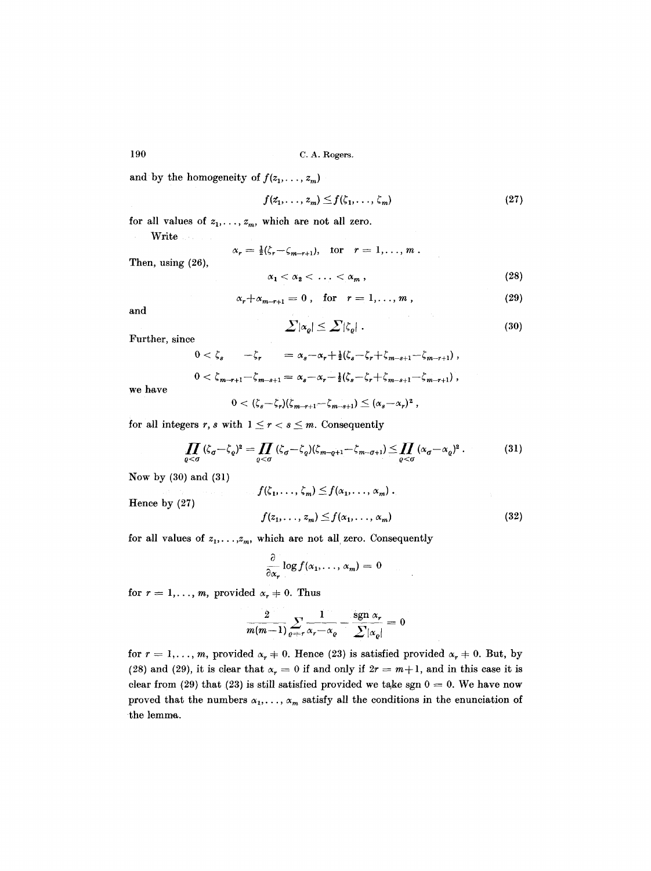and by the homogeneity of  $f(z_1, \ldots, z_m)$ 

$$
f(z_1,\ldots,z_m)\leq f(\zeta_1,\ldots,\zeta_m) \qquad (27)
$$

for all values of  $z_1, \ldots, z_m$ , which are not all zero.

Write 1

Then, using (26),

 $\alpha_r = \frac{1}{2}(\zeta_r - \zeta_{m-r+1}), \text{ for } r = 1, ..., m.$ 

$$
\alpha_1 < \alpha_2 < \ldots < \alpha_m \,, \tag{28}
$$

$$
\alpha_r + \alpha_{m-r+1} = 0, \quad \text{for} \quad r = 1, \ldots, m \,, \tag{29}
$$

and

$$
\sum |\alpha_{\varrho}| \leq \sum |\zeta_{\varrho}| \ . \tag{30}
$$

Further, since

$$
0 < \zeta_s \qquad -\zeta_r \qquad = \alpha_s - \alpha_r + \frac{1}{2}(\zeta_s - \zeta_r + \zeta_{m-s+1} - \zeta_{m-r+1}),
$$
  

$$
0 < \zeta_{m-r+1} - \zeta_{m-s+1} = \alpha_s - \alpha_r - \frac{1}{2}(\zeta_s - \zeta_r + \zeta_{m-s+1} - \zeta_{m-r+1}),
$$

we have

$$
0<(\zeta_s-\zeta_r)(\zeta_{m-r+1}-\zeta_{m-s+1})\leq (\alpha_s-\alpha_r)^2,
$$

for all integers r, s with  $1 \le r < s \le m$ . Consequently

$$
\prod_{\varrho < \sigma} (\zeta_{\sigma} - \zeta_{\varrho})^2 = \prod_{\varrho < \sigma} (\zeta_{\sigma} - \zeta_{\varrho}) (\zeta_{m-\varrho+1} - \zeta_{m-\sigma+1}) \leq \prod_{\varrho < \sigma} (\alpha_{\sigma} - \alpha_{\varrho})^2. \tag{31}
$$

Now by (30) and (31)

Hence by (27)

$$
f(\zeta_1, \ldots, \zeta_m) \le f(\alpha_1, \ldots, \alpha_m) .
$$
  

$$
f(z_1, \ldots, z_m) \le f(\alpha_1, \ldots, \alpha_m)
$$
 (32)

for all values of  $z_1, \ldots, z_m$ , which are not all zero. Consequently

$$
\frac{\partial}{\partial x_r}\log f(x_1,\ldots,x_m)=0
$$

for  $r = 1, \ldots, m$ , provided  $\alpha_r \neq 0$ . Thus

$$
\frac{2}{m(m-1)}\sum_{\varrho= r}\frac{1}{\alpha_r-\alpha_\varrho}-\frac{\mathrm{sgn}\,\,\alpha_r}{\sum_{|\alpha_\varrho|}}=0
$$

for  $r = 1, \ldots, m$ , provided  $\alpha_r \neq 0$ . Hence (23) is satisfied provided  $\alpha_r \neq 0$ . But, by (28) and (29), it is clear that  $\alpha_r = 0$  if and only if  $2r = m+1$ , and in this case it is clear from (29) that (23) is still satisfied provided we take sgn  $0 = 0$ . We have now proved that the numbers  $\alpha_1, \ldots, \alpha_m$  satisfy all the conditions in the enunciation of the lemma.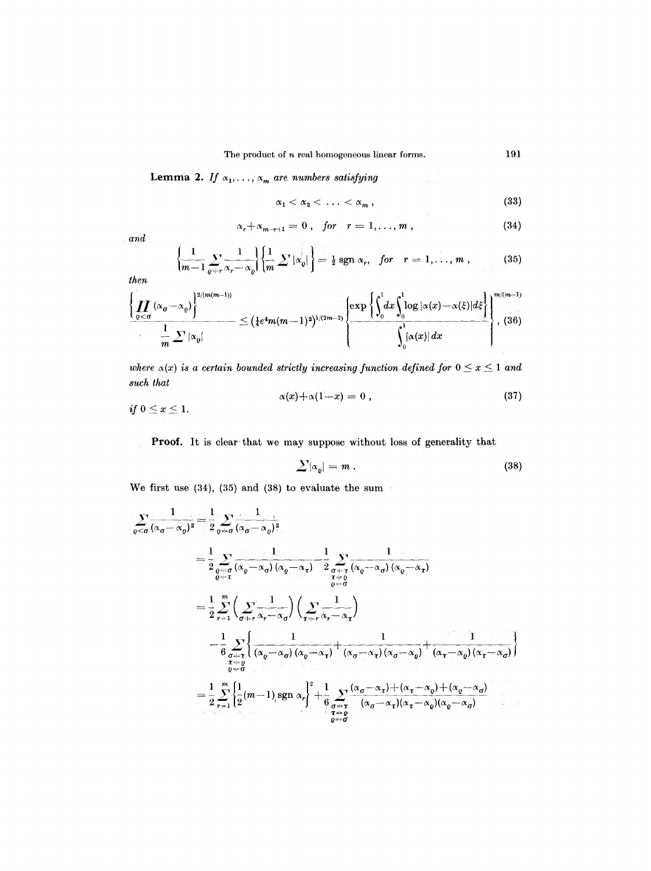Lemma 2. *If*  $\alpha_1, \ldots, \alpha_m$  are numbers satisfying

$$
\alpha_1 < \alpha_2 < \ldots < \alpha_m \,, \tag{33}
$$

$$
\alpha_r + \alpha_{m-r+1} = 0 \,, \quad \text{for} \quad r = 1, \ldots, m \,, \tag{34}
$$

*and* 

$$
\left\{\frac{1}{m-1}\sum_{\varrho+r}\frac{1}{\alpha_r-\alpha_\varrho}\right\}\left\{\frac{1}{m}\sum|\alpha_\varrho|\right\}=\frac{1}{2}\,\mathrm{sgn}\,\alpha_r,\quad \text{for}\quad r=1,\ldots,m\,,\tag{35}
$$

*then* 

$$
\frac{\left\{\prod_{\varrho<\sigma}(\alpha_{\sigma}-\alpha_{\varrho})\right\}^{2/(m(m-1))}}{m}\leq \left(\frac{1}{4}e^{4}m(m-1)^{2}\right)^{1/(2m-2)}\left\{\frac{\exp\left\{\int_{0}^{1}dx\int_{0}^{1}\log|\alpha(x)-\alpha(\xi)|d\xi\right\}}{\int_{0}^{1}|\alpha(x)|dx}\right\}^{m/(m-1)},
$$
(36)

where  $\alpha(x)$  is a certain bounded strictly increasing function defined for  $0 \le x \le 1$  and *such that* 

$$
\alpha(x)+\alpha(1-x)=0,
$$
\n(37)

Proof. It is clear that we may suppose without loss of generality that

$$
\sum |\alpha_{\varrho}| = m \,.
$$
 (38)

We first use  $(34)$ ,  $(35)$  and  $(38)$  to evaluate the sum

$$
\sum_{\varrho < \sigma} \frac{1}{(\alpha_{\sigma} - \alpha_{\varrho})^{2}} = \frac{1}{2} \sum_{\varrho + \sigma} \frac{1}{(\alpha_{\sigma} - \alpha_{\sigma})^{2}}
$$
\n
$$
= \frac{1}{2} \sum_{\varrho + \sigma} \frac{1}{(\alpha_{\varrho} - \alpha_{\sigma}) (\alpha_{\varrho} - \alpha_{\tau})} - \frac{1}{2} \sum_{\substack{\sigma + \tau \\ \tau + \varrho \\ \varrho + \sigma}} \frac{1}{(\alpha_{\varrho} - \alpha_{\sigma}) (\alpha_{\varrho} - \alpha_{\tau})}
$$
\n
$$
= \frac{1}{2} \sum_{r=1}^{m} \left( \sum_{\substack{\sigma + \tau \\ \sigma + \tau}} \frac{1}{\alpha_{r} - \alpha_{\sigma}} \right) \left( \sum_{\substack{\tau + \tau \\ \tau + \varrho \\ \tau + \sigma}} \frac{1}{\alpha_{r} - \alpha_{\tau}} \right)
$$
\n
$$
- \frac{1}{6} \sum_{\substack{\sigma + \tau \\ \sigma + \sigma \\ \varrho + \sigma}} \left\{ \frac{1}{(\alpha_{\varrho} - \alpha_{\sigma}) (\alpha_{\varrho} - \alpha_{\tau})} + \frac{1}{(\alpha_{\sigma} - \alpha_{\tau}) (\alpha_{\sigma} - \alpha_{\varrho})} + \frac{1}{(\alpha_{\tau} - \alpha_{\varrho}) (\alpha_{\tau} - \alpha_{\sigma})} \right\}
$$
\n
$$
= \frac{1}{2} \sum_{r=1}^{m} \left\{ \frac{1}{2} (m-1)_{r} \operatorname{sgn} \alpha_{r} \right\}^{2} + \frac{1}{6} \sum_{\substack{\sigma + \tau \\ \sigma + \tau \\ \sigma + \sigma}} \frac{(\alpha_{\sigma} - \alpha_{\tau}) + (\alpha_{\tau} - \alpha_{\varrho}) + (\alpha_{\varrho} - \alpha_{\sigma})}{(\alpha_{\tau} - \alpha_{\varrho}) (\alpha_{\varrho} - \alpha_{\sigma})}
$$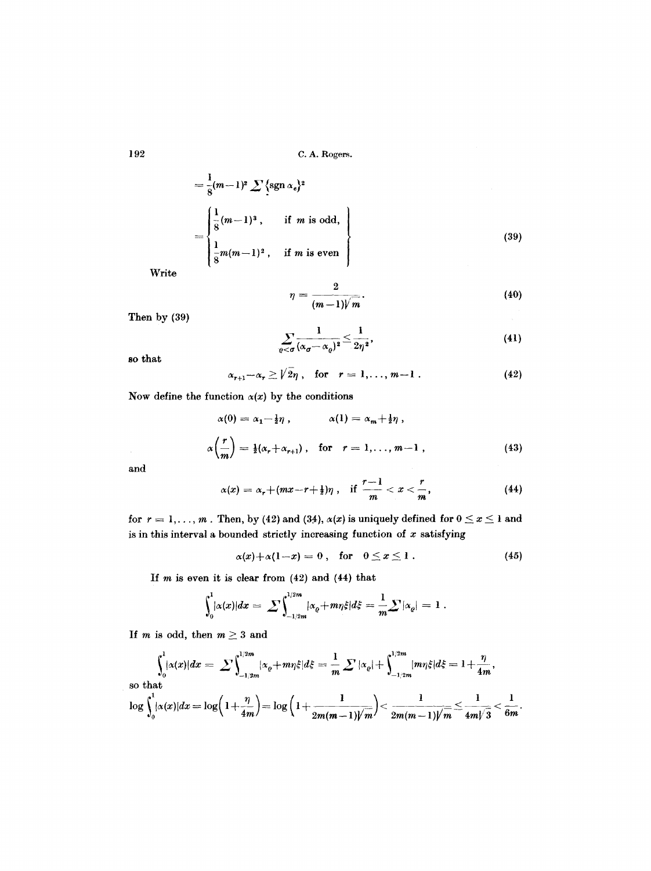$$
= \frac{1}{8}(m-1)^2 \sum {\text{sgn } \alpha_e}^2
$$
  
= 
$$
\begin{cases} \frac{1}{8}(m-1)^3, & \text{if } m \text{ is odd,} \\ \frac{1}{8}m(m-1)^2, & \text{if } m \text{ is even} \end{cases}
$$
 (39)

Write

$$
\eta = \frac{2}{(m-1)\sqrt{m}}.\tag{40}
$$

Then by (39)

$$
\sum_{\varrho<\sigma}\frac{1}{(\alpha_{\sigma}-\alpha_{\varrho})^2}\leq \frac{1}{2\eta^2},\qquad(41)
$$

**so** that

$$
\alpha_{r+1}-\alpha_r\geq \sqrt{2\eta}\,,\quad \text{for}\quad r=1,\ldots,m-1\,.
$$

Now define the function  $\alpha(x)$  by the conditions

$$
\alpha(0) = \alpha_1 - \frac{1}{2}\eta, \qquad \alpha(1) = \alpha_m + \frac{1}{2}\eta,
$$
  

$$
\alpha\left(\frac{r}{m}\right) = \frac{1}{2}(\alpha_r + \alpha_{r+1}), \quad \text{for} \quad r = 1, \dots, m-1,
$$
 (43)

and

 $\mathcal{L}^{\mathcal{L}}$ 

$$
\alpha(x) = \alpha_r + (mx - r + \frac{1}{2})\eta \ , \quad \text{if } \frac{r-1}{m} < x < \frac{r}{m}, \tag{44}
$$

for  $r = 1, ..., m$ . Then, by (42) and (34),  $\alpha(x)$  is uniquely defined for  $0 \le x \le 1$  and is in this interval a bounded strictly increasing function of  $x$  satisfying

$$
\alpha(x)+\alpha(1-x)=0\,,\quad\text{for}\quad 0\leq x\leq 1\,.
$$
 (45)

If  $m$  is even it is clear from  $(42)$  and  $(44)$  that

$$
\int_0^1 |\alpha(x)| dx = \sum \int_{-1/2m}^{1/2m} |\alpha_{\varrho} + m\eta \xi| d\xi = \frac{1}{m} \sum |\alpha_{\varrho}| = 1.
$$

If  $m$  is odd, then  $m \geq 3$  and

$$
\int_0^1 \lvert \alpha(x)\rvert dx = \sum \int_{-1/2m}^{1/2m} \lvert \alpha_\varrho + m\eta \xi \rvert d\xi = \frac{1}{m} \sum \lvert \alpha_\varrho \rvert + \int_{-1/2m}^{1/2m} \lvert m\eta \xi \rvert d\xi = 1 + \frac{\eta}{4m},
$$
\nso that\n
$$
\log \int_0^1 \lvert \alpha(x)\rvert dx = \log \Big( 1 + \frac{\eta}{4m} \Big) = \log \Big( 1 + \frac{1}{2m(m-1)\sqrt{m}} \Big) < \frac{1}{2m(m-1)\sqrt{m}} \le \frac{1}{4m\sqrt{3}} < \frac{1}{6m}.
$$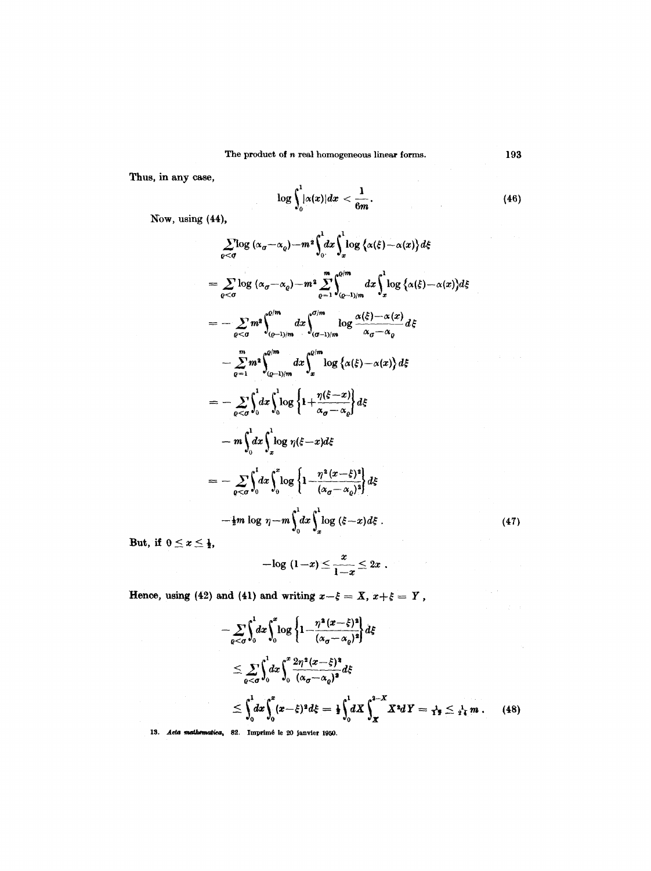Thus, in any case,

 $\log\int_{0}^{|\alpha(x)|dx}<\frac{1}{6m}$ (46)

Now, using (44),

$$
\sum_{\varrho < \sigma} \log (\alpha_{\sigma} - \alpha_{\varrho}) - m^{2} \int_{0}^{1} dx \int_{x}^{1} \log \left\{ \alpha(\xi) - \alpha(x) \right\} d\xi
$$
\n
$$
= \sum_{\varrho < \sigma} \log (\alpha_{\sigma} - \alpha_{\varrho}) - m^{2} \sum_{\varrho = 1}^{m} \int_{(\varrho - 1)/m}^{\varrho/m} dx \int_{x}^{1} \log \left\{ \alpha(\xi) - \alpha(x) \right\} d\xi
$$
\n
$$
= - \sum_{\varrho < \sigma} m^{2} \int_{(\varrho - 1)/m}^{\varrho/m} dx \int_{(\varrho - 1)/m}^{\varrho/m} \log \frac{\alpha(\xi) - \alpha(x)}{\alpha_{\sigma} - \alpha_{\varrho}} d\xi
$$
\n
$$
- \sum_{\varrho = 1}^{m} m^{2} \int_{(\varrho - 1)/m}^{\varrho/m} dx \int_{x}^{\varrho/m} \log \left\{ \alpha(\xi) - \alpha(x) \right\} d\xi
$$
\n
$$
= - \sum_{\varrho < \sigma} \int_{0}^{1} dx \int_{0}^{1} \log \left\{ 1 + \frac{\eta(\xi - x)}{\alpha_{\sigma} - \alpha_{\varrho}} \right\} d\xi
$$
\n
$$
- m \int_{0}^{1} dx \int_{x}^{1} \log \eta(\xi - x) d\xi
$$
\n
$$
= - \sum_{\varrho < \sigma} \int_{0}^{1} dx \int_{0}^{x} \log \left\{ 1 - \frac{\eta^{2} (x - \xi)^{2}}{(\alpha_{\sigma} - \alpha_{\varrho})^{2}} \right\} d\xi
$$
\n
$$
- \frac{1}{2} m \log \eta - m \int_{0}^{1} dx \int_{x}^{1} \log (\xi - x) d\xi.
$$

But, if  $0 \leq x \leq \frac{1}{2}$ ,

$$
-\log(1-x)\leq \frac{x}{1-x}\leq 2x.
$$

Hence, using (42) and (41) and writing  $x-\xi = X$ ,  $x+\xi = Y$ ,

$$
-\sum_{\varrho<\sigma}\int_{0}^{1}dx\int_{0}^{x}\log\left\{1-\frac{\eta^{2}(x-\xi)^{2}}{(\alpha_{\sigma}-\alpha_{\varrho})^{2}}\right\}d\xi
$$
\n
$$
\leq \sum_{\varrho<\sigma}\int_{0}^{1}dx\int_{0}^{x}\frac{2\eta^{2}(x-\xi)^{2}}{(\alpha_{\sigma}-\alpha_{\varrho})^{2}}d\xi
$$
\n
$$
\leq \int_{0}^{1}dx\int_{0}^{x}(x-\xi)^{2}d\xi = \frac{1}{2}\int_{0}^{1}dX\int_{x}^{2-X}X^{2}dY = \frac{1}{12}\leq \frac{1}{24}m.
$$
 (48)

**(47)**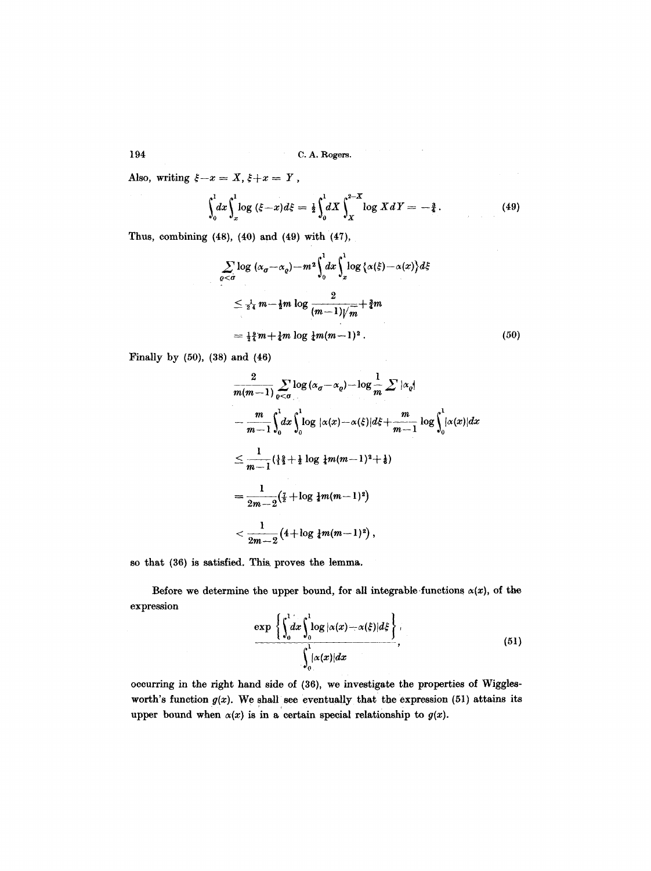Also, writing  $\xi-x=X, \xi+x=Y$ ,

$$
\int_0^1 dx \int_x^1 \log (\xi - x) d\xi = \frac{1}{2} \int_0^1 dX \int_X^{2-X} \log X dY = -\frac{3}{4}.
$$
 (49)

 $\alpha$  , where  $\alpha$  is a  $\alpha$ 

Thus, combining  $(48)$ ,  $(40)$  and  $(49)$  with  $(47)$ ,

$$
\sum_{\varrho < \sigma} \log \left( \alpha_{\sigma} - \alpha_{\varrho} \right) - m^2 \int_0^1 dx \int_x^1 \log \left\{ \alpha(\xi) - \alpha(x) \right\} d\xi
$$
\n
$$
\leq \frac{1}{2^4} m - \frac{1}{2} m \log \frac{2}{(m-1)\sqrt{m}} + \frac{3}{4} m
$$
\n
$$
= \frac{1}{2} \frac{3}{4} m + \frac{1}{4} m \log \frac{1}{4} m (m-1)^2 . \tag{50}
$$

Finally by (50), (38) and (46)

 $\hat{p} = \hat{p} \hat{p}$ 

$$
\frac{2}{m(m-1)} \sum_{\varrho < \sigma} \log (\alpha_{\sigma} - \alpha_{\varrho}) - \log \frac{1}{m} \sum |\alpha_{\varrho}|
$$
\n
$$
- \frac{m}{m-1} \int_{0}^{1} dx \int_{0}^{1} \log |\alpha(x) - \alpha(\xi)| d\xi + \frac{m}{m-1} \log \int_{0}^{1} |\alpha(x)| dx
$$
\n
$$
\leq \frac{1}{m-1} (\frac{1}{2} + \frac{1}{2} \log \frac{1}{2}m(m-1)^{2} + \frac{1}{6})
$$
\n
$$
= \frac{1}{2m-2} (\frac{7}{2} + \log \frac{1}{2}m(m-1)^{2})
$$
\n
$$
< \frac{1}{2m-2} (4 + \log \frac{1}{2}m(m-1)^{2}),
$$

so that (36) is satisfied. This. proves the lemma,

Before we determine the upper bound, for all integrable functions  $\alpha(x)$ , of the expression

$$
\frac{\exp\left\{\int_0^1 dx \int_0^1 \log |\alpha(x) - \alpha(\xi)| d\xi\right\}}{\int_0^1 |\alpha(x)| dx},
$$
\n(51)

occurring in the right hand side of (36), we investigate the properties of Wigglesworth's function  $g(x)$ . We shall see eventually that the expression (51) attains its upper bound when  $\alpha(x)$  is in a certain special relationship to  $g(x)$ .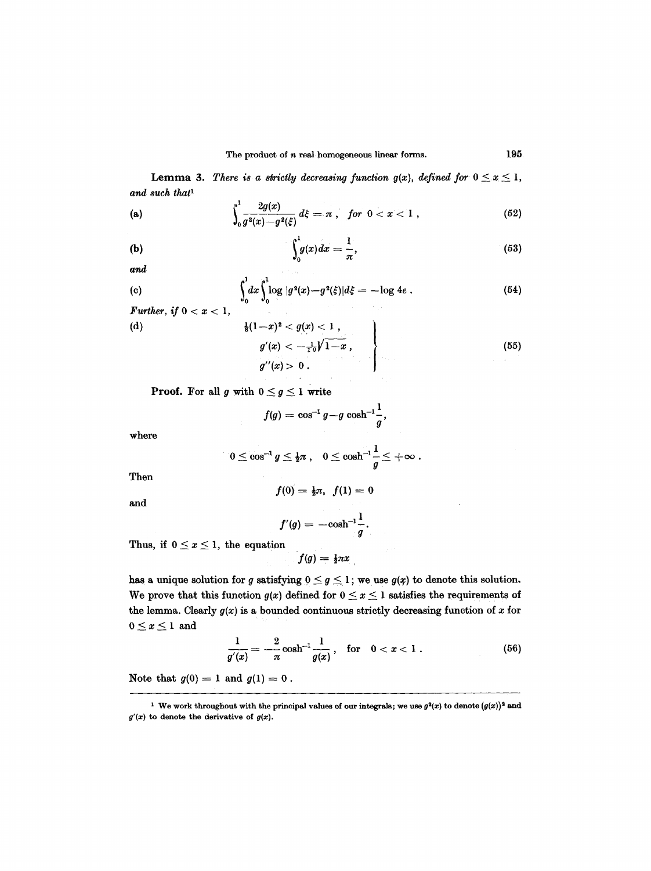**Lemma 3.** There is a strictly decreasing function  $g(x)$ , defined for  $0 \le x \le 1$ , and such that<sup>1</sup>

(a) 
$$
\int_0^1 \frac{2g(x)}{g^2(x) - g^2(\xi)} d\xi = \pi, \text{ for } 0 < x < 1,
$$
 (52)

$$
\int_0^1 g(x) dx = \frac{1}{\pi}, \qquad (53)
$$

and

(c) 
$$
\int_0^1 dx \int_0^1 \log |g^2(x) - g^2(\xi)| d\xi = -\log 4e .
$$
 (54)

 $\alpha$  ,  $\beta$  ,  $\beta_{\rm m}$ 

*Further, if 0 < x < 1,*   $\mathcal{S}^{\mathcal{S}}$  ,  $\mathcal{S}^{\mathcal{S}}$ (d)  $\frac{1}{8}(1-x)^2 < g(x) < 1$ ,  $g'(x) < -\frac{1}{10}V1-x$ , (55)<br>  $g''(x) > 0$ .

**Proof.** For all g with  $0 \leq g \leq 1$  write

$$
f(g)=\cos^{-1}g-g\,\cosh^{-1}\!\frac{1}{g},
$$

where

$$
0\leq \cos^{-1} g \leq \tfrac{1}{2}\pi\;,\quad 0\leq \cosh^{-1}\frac{1}{g}\leq +\infty\;.
$$

Then

$$
\quad \text{and} \quad
$$

$$
f(0) = \frac{1}{2}\pi, \ \ f(1) = 0
$$

$$
f'(g)=-\cosh^{-1}\frac{1}{g}.
$$

Thus, if  $0 \leq x \leq 1$ , the equation

$$
f(g) = \frac{1}{2}\pi x
$$

has a unique solution for g satisfying  $0 \leq g \leq 1$ ; we use  $g(x)$  to denote this solution. We prove that this function  $g(x)$  defined for  $0 \le x \le 1$  satisfies the requirements of the lemma. Clearly  $g(x)$  is a bounded continuous strictly decreasing function of x for  $0\leq x\leq 1$  and

$$
\frac{1}{g'(x)} = -\frac{2}{\pi} \cosh^{-1} \frac{1}{g(x)}, \quad \text{for} \quad 0 < x < 1 \; . \tag{56}
$$

Note that  $g(0) = 1$  and  $g(1) = 0$ .

<sup>&</sup>lt;sup>1</sup> We work throughout with the principal values of our integrals; we use  $g^2(x)$  to denote  $(g(x))^2$  and  $g'(x)$  to denote the derivative of  $g(x)$ .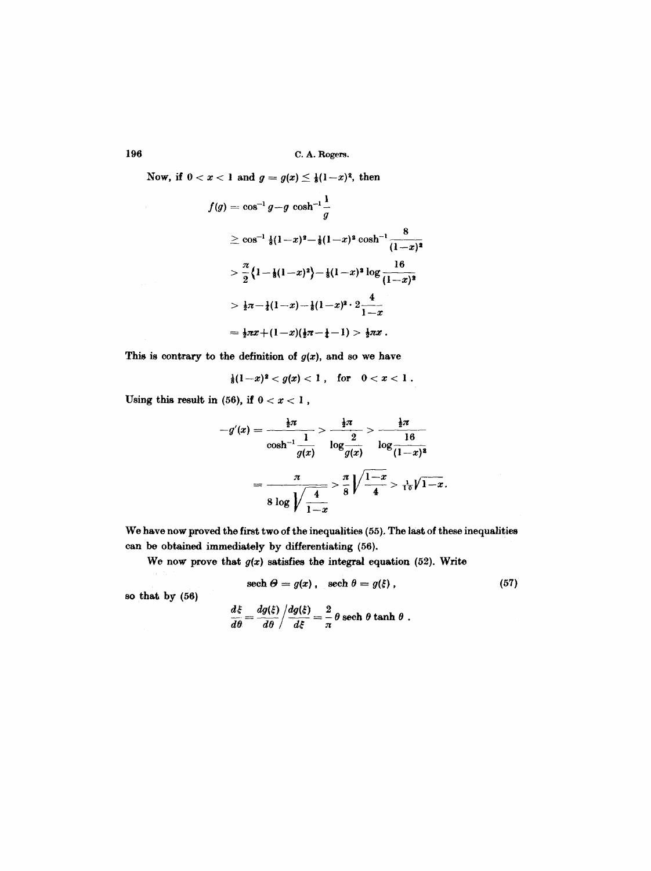Now, if  $0 < x < 1$  and  $g = g(x) \le \frac{1}{8}(1-x)^2$ , then

$$
f(g) = \cos^{-1} g - g \cosh^{-1} \frac{1}{g}
$$
  
\n
$$
\geq \cos^{-1} \frac{1}{8} (1-x)^2 - \frac{1}{8} (1-x)^2 \cosh^{-1} \frac{8}{(1-x)^2}
$$
  
\n
$$
> \frac{\pi}{2} \left\{ 1 - \frac{1}{8} (1-x)^2 \right\} - \frac{1}{8} (1-x)^2 \log \frac{16}{(1-x)^2}
$$
  
\n
$$
> \frac{1}{2} \pi - \frac{1}{4} (1-x) - \frac{1}{8} (1-x)^2 \cdot 2 \frac{4}{1-x}
$$
  
\n
$$
= \frac{1}{2} \pi x + (1-x)(\frac{1}{2} \pi - \frac{1}{4} - 1) > \frac{1}{2} \pi x.
$$

This is contrary to the definition of  $g(x)$ , and so we have

$$
\frac{1}{8}(1-x)^2 < g(x) < 1 \; \text{for} \quad 0 < x < 1 \; .
$$

Using this result in (56), if  $0 < x < 1$ ,

$$
-g'(x) = \frac{\frac{1}{2}\pi}{\cosh^{-1}\frac{1}{g(x)}} > \frac{\frac{1}{2}\pi}{\log\frac{2}{g(x)}} > \frac{\frac{1}{2}\pi}{\log\frac{16}{(1-x)^2}}
$$

$$
= \frac{\pi}{8 \log \sqrt{\frac{4}{1-x}}} > \frac{\pi}{8} \sqrt{\frac{1-x}{4}} > \frac{1}{10} \sqrt{1-x}.
$$

We have now proved the first two of the inequalities (55). The last of these inequalities can be obtained immediately by differentiating (56),

We now prove that  $g(x)$  satisfies the integral equation (52). Write

$$
\text{sech }\Theta = g(x), \quad \text{sech }\theta = g(\xi) , \qquad (57)
$$

so that by (56)

$$
\frac{d\xi}{d\theta} = \frac{dg(\xi)}{d\theta} / \frac{dg(\xi)}{d\xi} = \frac{2}{\pi} \theta \text{ sech } \theta \tanh \theta.
$$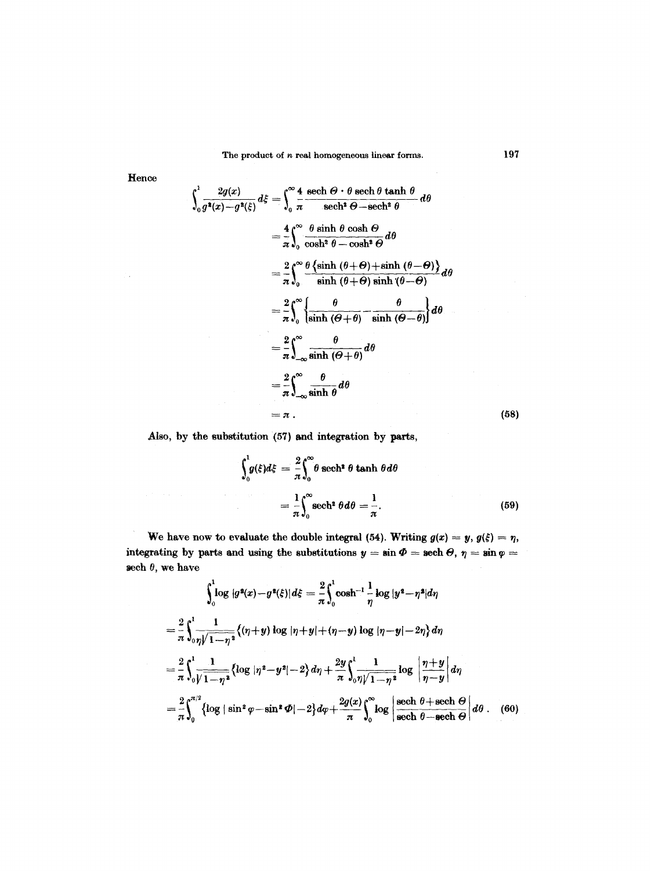The product of *n* real homogeneous linear forms. 197

$$
\int_{0}^{1} \frac{2g(x)}{g^{2}(x)-g^{2}(\xi)} d\xi = \int_{0}^{\infty} \frac{4}{\pi} \frac{\operatorname{sech} \theta \cdot \theta \operatorname{sech} \theta \tanh \theta}{\operatorname{sech}^{2} \theta - \operatorname{sech}^{2} \theta} d\theta
$$
\n
$$
= \frac{4}{\pi} \int_{0}^{\infty} \frac{\theta \sinh \theta \cosh \theta}{\cosh^{2} \theta - \cosh^{2} \theta} d\theta
$$
\n
$$
= \frac{2}{\pi} \int_{0}^{\infty} \frac{\theta \{\sinh (\theta + \theta) + \sinh (\theta - \theta)\}}{\sinh (\theta + \theta) \sinh (\theta - \theta)} d\theta
$$
\n
$$
= \frac{2}{\pi} \int_{0}^{\infty} \left\{ \frac{\theta}{\sinh (\theta + \theta)} - \frac{\theta}{\sinh (\theta - \theta)} \right\} d\theta
$$
\n
$$
= \frac{2}{\pi} \int_{-\infty}^{\infty} \frac{\theta}{\sinh (\theta + \theta)} d\theta
$$
\n
$$
= \frac{2}{\pi} \int_{-\infty}^{\infty} \frac{\theta}{\sinh \theta} d\theta
$$
\n
$$
= \pi .
$$
\n(58)

Also, by the substitution (57) and integration by parts,

 $\mathcal{L}(\mathcal{I})$  , where  $\mathcal{L}(\mathcal{I})$  is a subset of the set of  $\mathcal{I}(\mathcal{I})$ 

$$
\int_0^1 g(\xi) d\xi = \frac{2}{\pi} \int_0^\infty \theta \operatorname{sech}^2 \theta \tanh \theta d\theta
$$

$$
= \frac{1}{\pi} \int_0^\infty \operatorname{sech}^2 \theta d\theta = \frac{1}{\pi}.
$$
 (59)

We have now to evaluate the double integral (54). Writing  $g(x) = y$ ,  $g(\xi) = \eta$ , integrating by parts and using the substitutions  $y = \sin \Phi = \text{sech }\Theta, \eta = \sin \varphi =$ sech  $\theta$ , we have

$$
\int_{0}^{1} \log |g^{2}(x)-g^{2}(\xi)| d\xi = \frac{2}{\pi} \int_{0}^{1} \cosh^{-1} \frac{1}{\eta} \log |y^{2}-\eta^{2}| d\eta
$$
  
\n
$$
= \frac{2}{\pi} \int_{0}^{1} \frac{1}{\eta \sqrt{1-\eta^{2}}} \{(\eta+y) \log |\eta+y|+(\eta-y) \log |\eta-y| - 2\eta\} d\eta
$$
  
\n
$$
= \frac{2}{\pi} \int_{0}^{1} \frac{1}{\sqrt{1-\eta^{2}}} \{ \log |\eta^{2}-y^{2}| - 2 \} d\eta + \frac{2y}{\pi} \int_{0}^{1} \frac{1}{\eta \sqrt{1-\eta^{2}}} \log \left| \frac{\eta+y}{\eta-y} \right| d\eta
$$
  
\n
$$
= \frac{2}{\pi} \int_{0}^{\pi/2} \{ \log |\sin^{2} \varphi - \sin^{2} \varphi| - 2 \} d\varphi + \frac{2g(x)}{\pi} \int_{0}^{\infty} \log |\frac{\text{sech } \theta + \text{sech } \Theta}{\text{sech } \theta - \text{sech } \Theta} | d\theta. \quad (60)
$$

Hence

Žγ.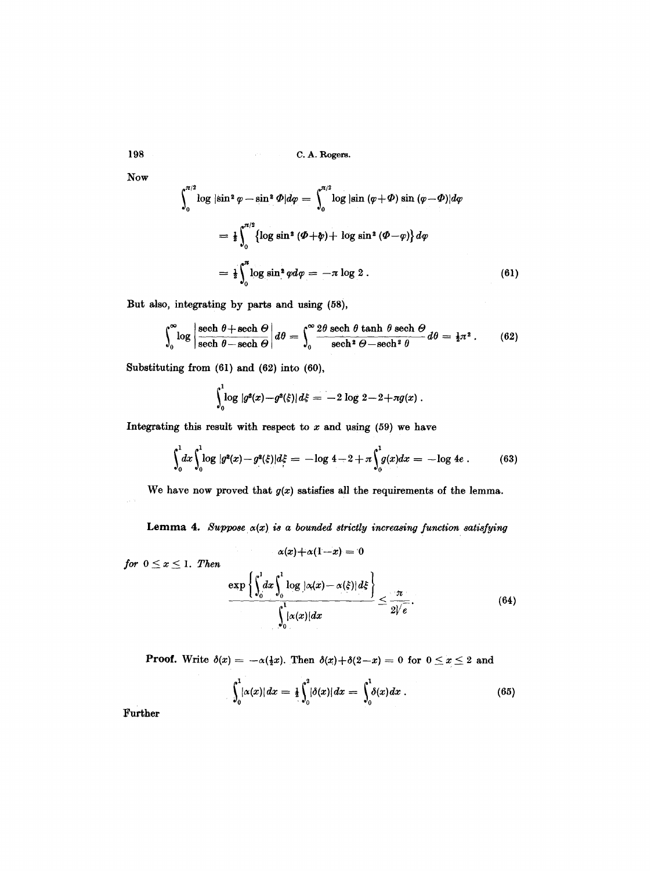Now

$$
\int_0^{\pi/2} \log|\sin^2 \varphi - \sin^2 \varPhi| d\varphi = \int_0^{\pi/2} \log|\sin(\varphi + \varPhi) \sin(\varphi - \varPhi)| d\varphi
$$
  
=  $\frac{1}{2} \int_0^{\pi/2} {\log \sin^2 (\varPhi + \varphi) + \log \sin^2 (\varPhi - \varphi)} d\varphi$   
=  $\frac{1}{2} \int_0^{\pi} \log \sin^2 \varphi d\varphi = -\pi \log 2$ . (61)

But also, integrating by parts and using (58),

$$
\int_0^\infty \log \left| \frac{\text{sech }\theta + \text{sech }\Theta}{\text{sech }\theta - \text{sech }\Theta} \right| d\theta = \int_0^\infty \frac{2\theta \text{ sech }\theta \text{ tanh }\theta \text{ sech }\Theta}{\text{sech }^2\theta - \text{sech }^2\theta} d\theta = \frac{1}{2}\pi^2. \tag{62}
$$

Substituting from (61) and (62) into (60),

$$
\int_0^1 \log |g^2(x) - g^2(\xi)| d\xi = -2 \log 2 - 2 + \pi g(x) .
$$

Integrating this result with respect to  $x$  and using (59) we have

$$
\int_0^1 dx \int_0^1 \log |g^2(x) - g^2(\xi)| d\xi = -\log 4 - 2 + \pi \int_0^1 g(x) dx = -\log 4e . \tag{63}
$$

We have now proved that  $g(x)$  satisfies all the requirements of the lemma.

Lemma 4. Suppose  $\alpha(x)$  is a bounded strictly increasing function satisfying

 $\alpha(x)+\alpha(1-x) = 0$ 

for 
$$
0 \le x \le 1
$$
. Then  

$$
\frac{\exp\left\{\int_0^1 dx \int_0^1 \log |\alpha(x) - \alpha(\xi)| d\xi\right\}}{\int_0^1 |\alpha(x)| dx} \le \frac{\pi}{2\sqrt{e}}.
$$
(64)

**Proof.** Write  $\delta(x) = -\alpha(\frac{1}{2}x)$ . Then  $\delta(x)+\delta(2-x) = 0$  for  $0 \le x \le 2$  and

$$
\int_0^1 |\alpha(x)| \, dx = \tfrac{1}{2} \int_0^2 |\delta(x)| \, dx = \int_0^1 \delta(x) \, dx \, . \tag{65}
$$

Further

 $\bar{\psi}$ 

**198**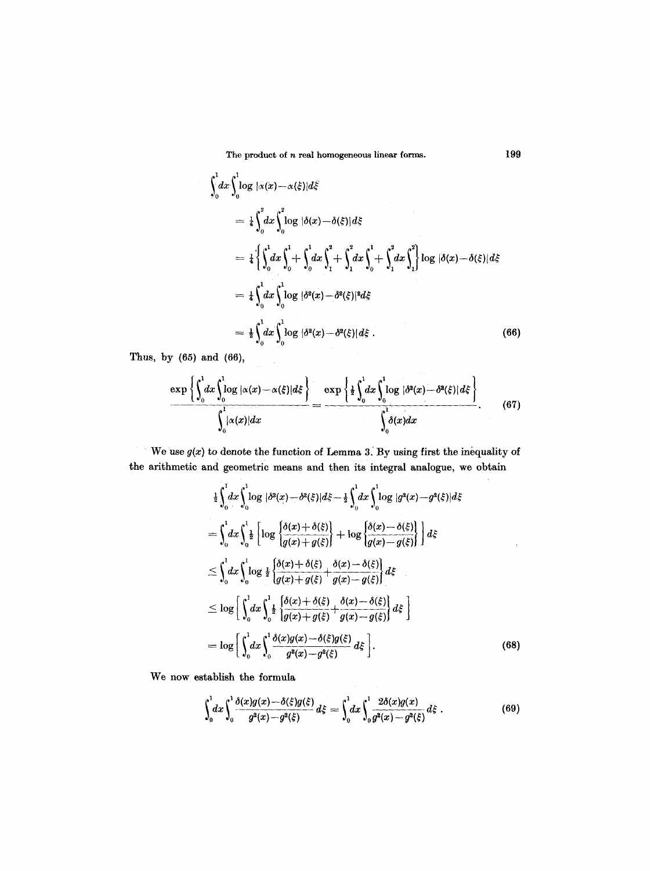The product of *n* real homogeneous linear forms. 199

$$
\int_{0}^{1} dx \int_{0}^{1} \log |\alpha(x) - \alpha(\xi)| d\xi
$$
\n
$$
= \frac{1}{4} \int_{0}^{2} dx \int_{0}^{2} \log |\delta(x) - \delta(\xi)| d\xi
$$
\n
$$
= \frac{1}{4} \left\{ \int_{0}^{1} dx \int_{0}^{1} + \int_{0}^{1} dx \int_{1}^{2} + \int_{1}^{2} dx \int_{0}^{1} + \int_{1}^{2} dx \int_{1}^{2} \log |\delta(x) - \delta(\xi)| d\xi \right\}
$$
\n
$$
= \frac{1}{4} \int_{0}^{1} dx \int_{0}^{1} \log |\delta^{2}(x) - \delta^{2}(\xi)|^{2} d\xi
$$
\n
$$
= \frac{1}{2} \int_{0}^{1} dx \int_{0}^{1} \log |\delta^{2}(x) - \delta^{2}(\xi)| d\xi . \qquad (66)
$$

Thus, by  $(65)$  and  $(66)$ ,

$$
\frac{\exp\left\{\int_0^1 dx \int_0^1 \log |\alpha(x) - \alpha(\xi)| d\xi\right\}}{\int_0^1 |\alpha(x)| dx} = \frac{\exp\left\{\frac{1}{2} \int_0^1 dx \int_0^1 \log |\delta^2(x) - \delta^2(\xi)| d\xi\right\}}{\int_0^1 \delta(x) dx}.
$$
(67)

We use  $g(x)$  to denote the function of Lemma 3. By using first the inequality of  $\gamma$ the arithmetic and geometric means and then its integral analogue, we obtain

$$
\frac{1}{2}\int_0^1 dx \int_0^1 \log |\delta^2(x) - \delta^2(\xi)| d\xi - \frac{1}{2}\int_0^1 dx \int_0^1 \log |g^2(x) - g^2(\xi)| d\xi
$$
\n
$$
= \int_0^1 dx \int_0^1 \frac{1}{2} \left[ \log \left\{ \frac{\delta(x) + \delta(\xi)}{\overline{g(x) + g(\xi)}} \right\} + \log \left\{ \frac{\delta(x) - \delta(\xi)}{\overline{g(x) - g(\xi)}} \right\} \right] d\xi
$$
\n
$$
\leq \int_0^1 dx \int_0^1 \log \frac{1}{2} \left\{ \frac{\delta(x) + \delta(\xi)}{\overline{g(x) + g(\xi)} + \frac{\delta(x) - \delta(\xi)}{\overline{g(x) - g(\xi)}} \right\} d\xi
$$
\n
$$
\leq \log \left[ \int_0^1 dx \int_0^1 \frac{1}{2} \left\{ \frac{\delta(x) + \delta(\xi)}{\overline{g(x) + g(\xi)} + \frac{\delta(x) - \delta(\xi)}{\overline{g(x) - g(\xi)}} \right\} d\xi \right]
$$
\n
$$
= \log \left[ \int_0^1 dx \int_0^1 \frac{\delta(x)g(x) - \delta(\xi)g(\xi)}{g^2(x) - g^2(\xi)} d\xi \right]. \tag{68}
$$

We now establish the formula

$$
\int_0^1 dx \int_0^1 \frac{\delta(x)g(x) - \delta(\xi)g(\xi)}{g^2(x) - g^2(\xi)} d\xi = \int_0^1 dx \int_0^1 \frac{2\delta(x)g(x)}{g^2(x) - g^2(\xi)} d\xi \tag{69}
$$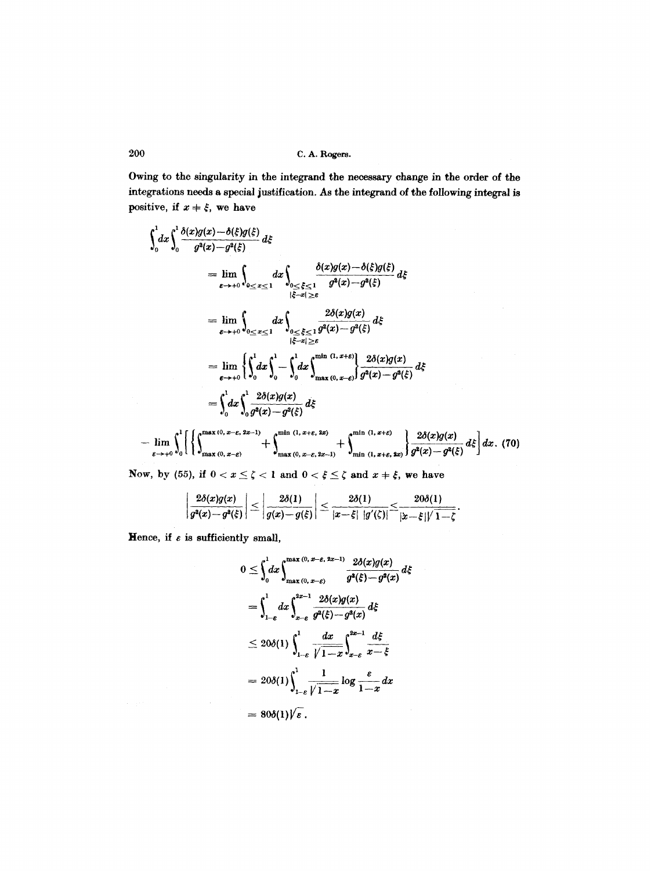Owing to the singularity in the integrand the necessary change in the order of the integrations needs a special justification. As the integrand of the following integral is positive, if  $x + \xi$ , we have

$$
\int_{0}^{1} dx \int_{0}^{1} \frac{\delta(x)g(x) - \delta(\xi)g(\xi)}{g^{2}(x) - g^{2}(\xi)} d\xi
$$
\n
$$
= \lim_{\varepsilon \to +0} \int_{0 \le x \le 1} dx \int_{0 \le \xi \le 1} \frac{\delta(x)g(x) - \delta(\xi)g(\xi)}{g^{2}(x) - g^{2}(\xi)} d\xi
$$
\n
$$
= \lim_{\varepsilon \to +0} \int_{0 \le x \le 1} dx \int_{0 \le \xi \le 1} \frac{2\delta(x)g(x)}{g^{2}(x) - g^{2}(\xi)} d\xi
$$
\n
$$
= \lim_{\varepsilon \to +0} \left\{ \int_{0}^{1} dx \int_{0}^{1} - \int_{0}^{1} dx \int_{\max(0, x - \varepsilon)}^{\min(1, x + \varepsilon)} \frac{2\delta(x)g(x)}{g^{2}(x) - g^{2}(\xi)} d\xi \right\}
$$
\n
$$
= \int_{0}^{1} dx \int_{0}^{1} \frac{2\delta(x)g(x)}{g^{2}(x) - g^{2}(\xi)} d\xi
$$
\n
$$
= \int_{0}^{1} dx \int_{0}^{1} \frac{2\delta(x)g(x)}{g^{2}(x) - g^{2}(\xi)} d\xi
$$
\n
$$
= \int_{0}^{1} dx \int_{0}^{1} \frac{2\delta(x)g(x)}{g^{2}(x) - g^{2}(\xi)} d\xi
$$

$$
-\lim_{\varepsilon\to+0}\int_0^1\left[\left\{\int_{\max(0,\,x-\varepsilon)}^{\max(0,\,x-\varepsilon,\,2x-1)}+\int_{\max(0,\,x-\varepsilon,\,2x-1)}^{\min(1,\,x+\varepsilon,\,2x)}+\int_{\min(1,\,x+\varepsilon,\,2x)}^{\min(1,\,x+\varepsilon)}\right\}\frac{2\delta(x)g(x)}{g^2(x)-g^2(\xi)}d\xi\right]dx. \tag{70}
$$

Now, by (55), if  $0 < x \leq \zeta < 1$  and  $0 < \xi \leq \zeta$  and  $x \neq \xi$ , we have

$$
\left|\frac{2\delta(x)g(x)}{g^2(x)-g^2(\xi)}\right|\leq \left|\frac{2\delta(1)}{g(x)-g(\xi)}\right|\leq \frac{2\delta(1)}{|x-\xi| \, |g'(\zeta)|}\leq \frac{20\delta(1)}{|x-\xi|/\sqrt{1-\zeta}}.
$$

Hence, if  $\varepsilon$  is sufficiently small,

 $\sigma$  and

$$
0 \leq \int_0^1 dx \int_{\max(0, x-\epsilon)}^{\max(0, x-\epsilon, 2x-1)} \frac{2\delta(x)g(x)}{g^2(\xi)-g^2(x)} d\xi
$$
  
= 
$$
\int_{1-\epsilon}^1 dx \int_{x-\epsilon}^{2x-1} \frac{2\delta(x)g(x)}{g^2(\xi)-g^2(x)} d\xi
$$
  

$$
\leq 20\delta(1) \int_{1-\epsilon}^1 \frac{dx}{\sqrt{1-x}} \int_{x-\epsilon}^{2x-1} \frac{d\xi}{x-\xi}
$$
  
= 
$$
20\delta(1) \int_{1-\epsilon}^1 \frac{1}{\sqrt{1-x}} \log \frac{\epsilon}{1-x} dx
$$
  
= 
$$
80\delta(1) \sqrt{\epsilon}.
$$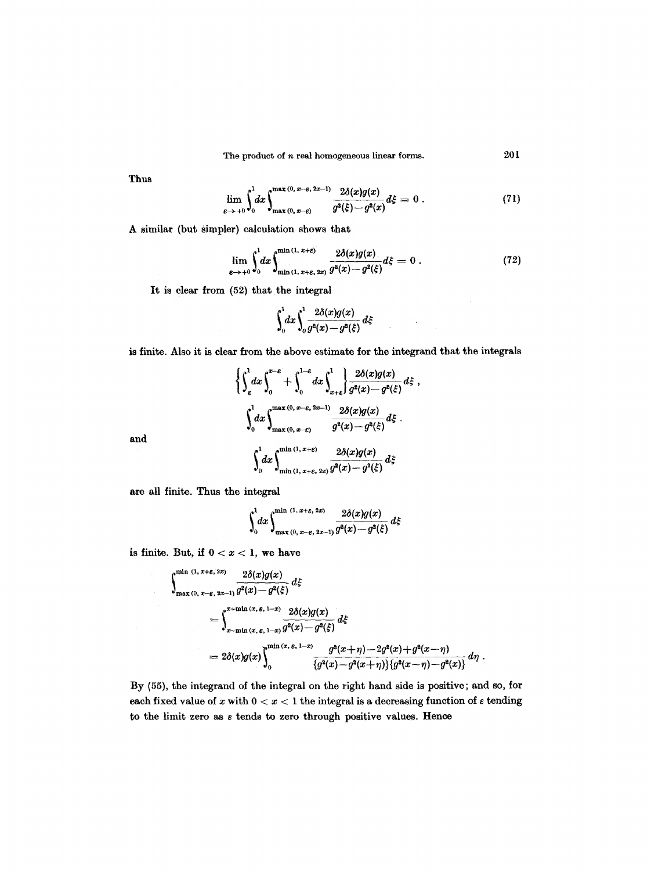The product of *n* real homogeneous linear forms. 201

Thus

and

$$
\lim_{\varepsilon \to +0} \int_0^1 dx \int_{\max(0, x-\varepsilon)}^{\max(0, x-\varepsilon, 2x-1)} \frac{2\delta(x)g(x)}{g^2(\xi)-g^2(x)} d\xi = 0.
$$
 (71)

A similar (but simpler) calculation shows that

$$
\lim_{\varepsilon \to +0} \int_0^1 dx \int_{\min(1, x+\varepsilon, 2x)}^{\min(1, x+\varepsilon)} \frac{2\delta(x)g(x)}{g^2(x)-g^2(\xi)} d\xi = 0 \ . \tag{72}
$$

 $\mathcal{L}$ 

 $\bar{\beta}$ 

It is clear from (52) that the integral

$$
\int_0^1 dx \int_0^1 \frac{2\delta(x)g(x)}{g^2(x)-g^2(\xi)} d\xi
$$

is finite. Also it is clear from the above estimate for the integrand that the integrals

$$
\begin{aligned}\n&\left\{\int_{\epsilon}^{1} dx \int_{0}^{x-\epsilon} + \int_{0}^{1-\epsilon} dx \int_{x+\epsilon}^{1} \frac{2\delta(x)g(x)}{g^2(x) - g^2(\xi)} d\xi\right\}, \\
&\int_{0}^{1} dx \int_{\max(0, x-\epsilon)}^{\max(0, x-\epsilon, 2x-1)} \frac{2\delta(x)g(x)}{g^2(x) - g^2(\xi)} d\xi. \\
&\int_{0}^{1} dx \int_{\min(1, x+\epsilon, 2x)}^{\min(1, x+\epsilon)} \frac{2\delta(x)g(x)}{g^2(x) - g^2(\xi)} d\xi.\n\end{aligned}
$$

are all finite. Thus the integral

$$
\int_0^1 dx \int_{\max(0, x-\varepsilon, 2x-1)}^{\min(1, x+\varepsilon, 2x)} \frac{2\delta(x)g(x)}{g^2(x)-g^2(\xi)} d\xi
$$

is finite. But, if  $0 < x < 1$ , we have

$$
\int_{\max(0, x-\epsilon, 2x)}^{\min(1, x+\epsilon, 2x)} \frac{2\delta(x)g(x)}{g^2(x)-g^2(\xi)} d\xi
$$
  
= 
$$
\int_{x-\min(x, \epsilon, 1-x)}^{x+\min(x, \epsilon, 1-x)} \frac{2\delta(x)g(x)}{g^2(x)-g^2(\xi)} d\xi
$$
  
= 
$$
2\delta(x)g(x)\int_0^{\min(x, \epsilon, 1-x)} \frac{g^2(x+\eta)-2g^2(x)+g^2(x-\eta)}{\{g^2(x)-g^2(x+\eta)\}\{g^2(x-\eta)-g^2(x)\}} d\eta.
$$

By (55), the integrand of the integral on the right hand side is positive; and so, for each fixed value of x with  $0 < x < 1$  the integral is a decreasing function of  $\varepsilon$  tending to the limit zero as  $\varepsilon$  tends to zero through positive values. Hence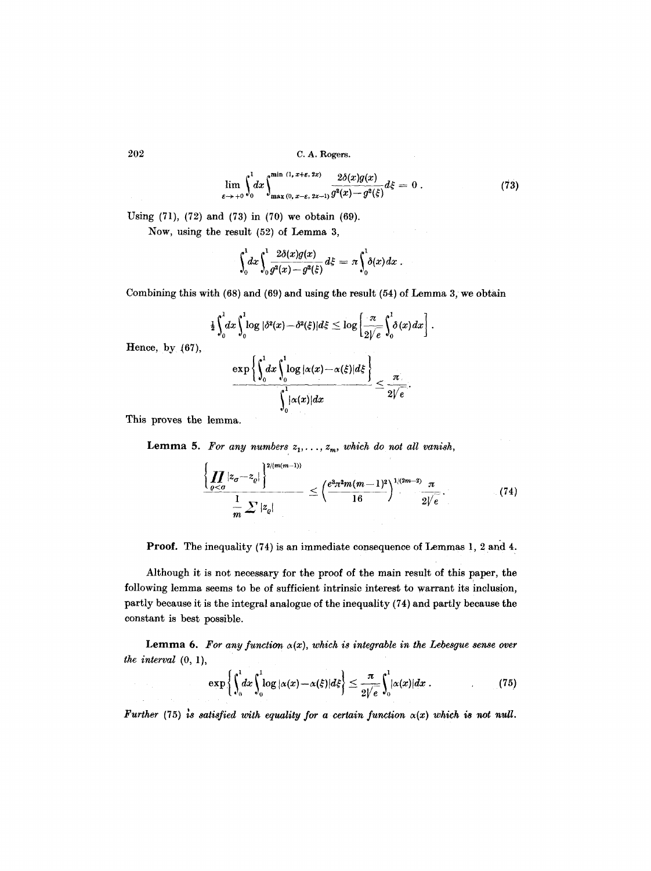$$
\lim_{\varepsilon \to +0} \int_0^1 dx \int_{\max(0, x-\varepsilon, 2x-1)}^{\min(1, x+\varepsilon, 2x)} \frac{2\delta(x)g(x)}{g^2(x)-g^2(\xi)} d\xi = 0.
$$
 (73)

Using (71), (72) and (73) in (70) we obtain (69).

Now, using the result (52) of Lemma 3,

$$
\int_0^1 dx \int_0^1 \frac{2\delta(x)g(x)}{g^2(x)-g^2(\xi)} d\xi = \pi \int_0^1 \delta(x) dx.
$$

Combining this with  $(68)$  and  $(69)$  and using the result  $(54)$  of Lemma 3, we obtain

$$
\tfrac{1}{2}\int_0^1 dx \int_0^1 \log |\delta^2(x) - \delta^2(\xi)| d\xi \leq \log \left[\frac{\pi}{2\sqrt{e}}\int_0^1 \delta(x) dx\right].
$$

Hence, by (67),

$$
\frac{\exp\left\{\int_0^1 dx \int_0^1 \log |\alpha(x) - \alpha(\xi)| d\xi\right\}}{\int_0^1 |\alpha(x)| dx} \leq \frac{\pi}{2\sqrt{e}}.
$$

This proves the lemma.

**Lemma 5.** For any numbers  $z_1, \ldots, z_m$ , which do not all vanish,

$$
\frac{\left\{\prod_{\varrho < \sigma} |z_{\sigma} - z_{\varrho}| \right\}^{2/(m(m-1))}}{m} \leq \left(\frac{e^3 \pi^2 m (m-1)^2}{16}\right)^{1/(2m-2)} \frac{\pi}{2 \sqrt{e}}.\tag{74}
$$

Proof. The inequality (74) is an immediate consequence of Lemmas 1, 2 and 4.

Although it is not necessary for the proof of the main result of this paper, the following lemma seems to be of sufficient intrinsic interest to warrant its inclusion, partly because it is the integral analogue of the inequality (74) and partly because the constant is best possible.

Lemma 6. For any function  $\alpha(x)$ , which is integrable in the Lebesgue sense over *the interval* (0, 1),

$$
\exp\left\{\int_0^1 dx \int_0^1 \log |\alpha(x) - \alpha(\xi)| d\xi\right\} \leq \frac{\pi}{2\sqrt{e}} \int_0^1 |\alpha(x)| dx \ . \tag{75}
$$

*Further* (75) is satisfied with equality for a certain function  $\alpha(x)$  which is not null.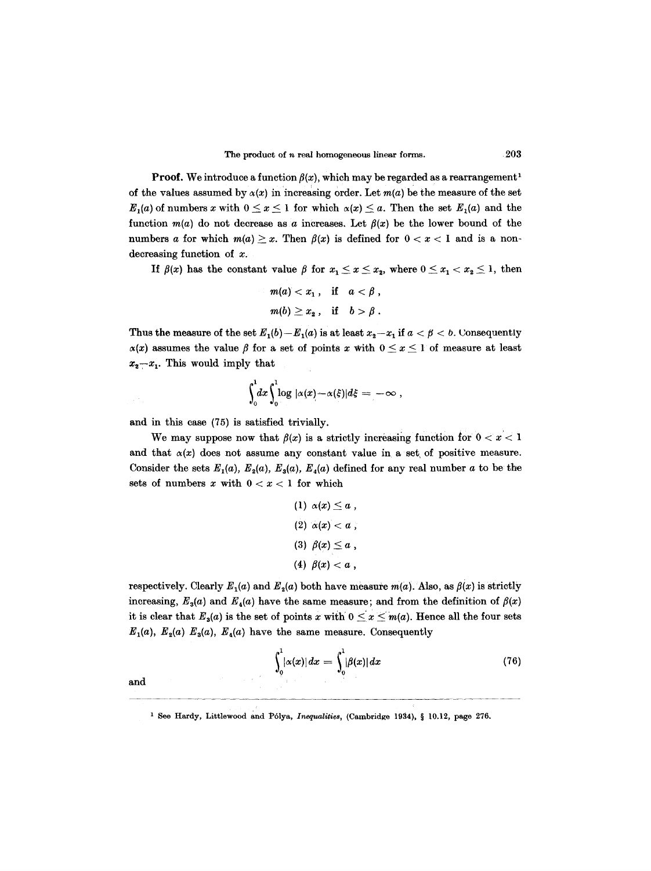**Proof.** We introduce a function  $\beta(x)$ , which may be regarded as a rearrangement<sup>1</sup> of the values assumed by  $\alpha(x)$  in increasing order. Let  $m(a)$  be the measure of the set  $E_1(a)$  of numbers x with  $0 \le x \le 1$  for which  $\alpha(x) \le a$ . Then the set  $E_1(a)$  and the function  $m(a)$  do not decrease as a increases. Let  $\beta(x)$  be the lower bound of the numbers a for which  $m(a) \geq x$ . Then  $\beta(x)$  is defined for  $0 < x < 1$  and is a nondecreasing function of x.

If  $\beta(x)$  has the constant value  $\beta$  for  $x_1 \leq x \leq x_2$ , where  $0 \leq x_1 < x_2 \leq 1$ , then

$$
m(a) < x_1 \,, \quad \text{if} \quad a < \beta \,,
$$
\n
$$
m(b) \geq x_2 \,, \quad \text{if} \quad b > \beta \,.
$$

Thus the measure of the set  $E_1(b) - E_1(a)$  is at least  $x_2 - x_1$  if  $a < \beta < b$ . Uonsequently  $\alpha(x)$  assumes the value  $\beta$  for a set of points x with  $0 \le x \le 1$  of measure at least  $x_2-x_1$ . This would imply that

$$
\int_0^1 dx \int_0^1 \log |\alpha(x) - \alpha(\xi)| d\xi = -\infty,
$$

and in this case (75) is satisfied trivially.

We may suppose now that  $f(x)$  is a strictly increasing function for  $0 < x < 1$ and that  $\alpha(x)$  does not assume any constant value in a set of positive measure. Consider the sets  $E_1(a)$ ,  $E_2(a)$ ,  $E_3(a)$ ,  $E_4(a)$  defined for any real number a to be the sets of numbers  $x$  with  $0 < x < 1$  for which

$$
(1) \ \alpha(x) \leq a ,
$$

$$
(2) \ \alpha(x) < a ,
$$

$$
(3) \ \beta(x) \leq a ,
$$

$$
(4) \ \beta(x) < a ,
$$

respectively. Clearly  $E_1(a)$  and  $E_2(a)$  both have measure  $m(a)$ . Also, as  $\beta(x)$  is strictly increasing,  $E_3(a)$  and  $E_4(a)$  have the same measure; and from the definition of  $\beta(x)$ it is clear that  $E_3(a)$  is the set of points *x* with  $0 \le x \le m(a)$ . Hence all the four sets  $E_1(a)$ ,  $E_2(a)$   $E_3(a)$ ,  $E_4(a)$  have the same measure. Consequently

$$
\int_0^1 |\alpha(x)| dx = \int_0^1 |\beta(x)| dx \qquad (76)
$$

and

 $\epsilon^{-1}$ 

<sup>&</sup>lt;sup>1</sup> See Hardy, Littlewood and Pólya, *Inequalities*, (Cambridge 1934), § 10.12, page 276.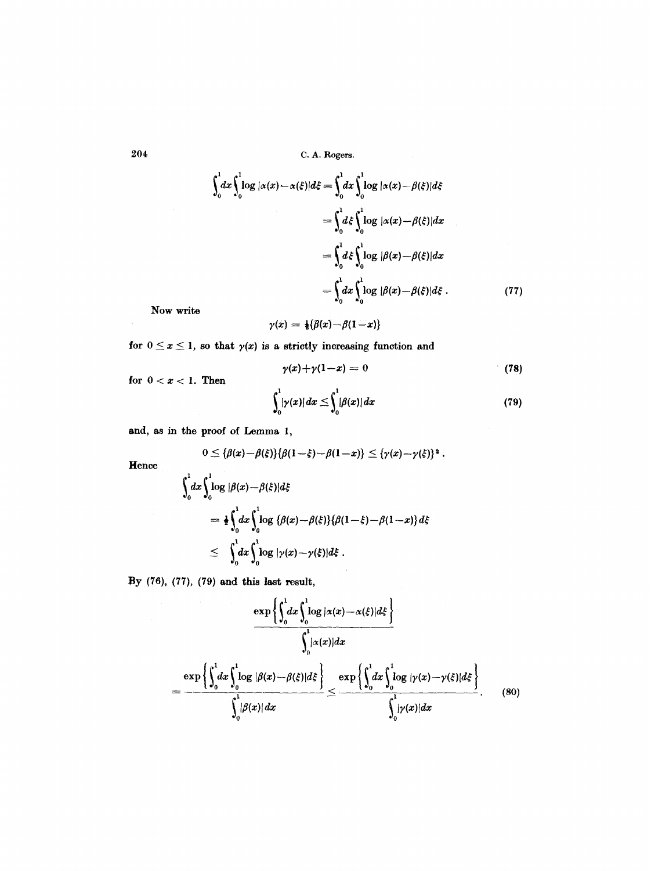$$
\int_0^1 dx \int_0^1 \log |\alpha(x) - \alpha(\xi)| d\xi = \int_0^1 dx \int_0^1 \log |\alpha(x) - \beta(\xi)| d\xi
$$
  
= 
$$
\int_0^1 d\xi \int_0^1 \log |\alpha(x) - \beta(\xi)| dx
$$
  
= 
$$
\int_0^1 d\xi \int_0^1 \log |\beta(x) - \beta(\xi)| dx
$$
  
= 
$$
\int_0^1 dx \int_0^1 \log |\beta(x) - \beta(\xi)| d\xi.
$$
 (77)

Now write

$$
\gamma(x) = \frac{1}{2}\{\beta(x) - \beta(1-x)\}
$$

for  $0 \le x \le 1$ , so that  $\gamma(x)$  is a strictly increasing function and

$$
\gamma(x)+\gamma(1-x)=0 \qquad \qquad (78)
$$

 $\sim 10$ 

for  $0 < x < 1$ . Then

**Hence** 

$$
\int_0^1 |\gamma(x)| dx \leq \int_0^1 |\beta(x)| dx \tag{79}
$$

and, as in the proof of Lemma 1,

$$
0 \leq {\beta(x) - \beta(\xi)} {\beta(1 - \xi) - \beta(1 - x)} \leq {\gamma(x) - \gamma(\xi)}^2.
$$
  

$$
\int_0^1 dx \int_0^1 \log |\beta(x) - \beta(\xi)| d\xi
$$
  

$$
= \frac{1}{2} \int_0^1 dx \int_0^1 \log {\{\beta(x) - \beta(\xi)\}\{\beta(1 - \xi) - \beta(1 - x)\} d\xi}
$$
  

$$
\leq \int_0^1 dx \int_0^1 \log |\gamma(x) - \gamma(\xi)| d\xi.
$$

By  $(76)$ ,  $(77)$ ,  $(79)$  and this last result,

$$
\frac{\exp\left\{\int_0^1 dx \int_0^1 \log |\alpha(x) - \alpha(\xi)| d\xi\right\}}{\int_0^1 |\alpha(x)| dx}
$$
\n
$$
= \frac{\exp\left\{\int_0^1 dx \int_0^1 \log |\beta(x) - \beta(\xi)| d\xi\right\}}{\int_0^1 |\beta(x)| dx} \le \frac{\exp\left\{\int_0^1 dx \int_0^1 \log |\gamma(x) - \gamma(\xi)| d\xi\right\}}{\int_0^1 |\gamma(x)| dx}.
$$
\n(80)

 $\sim$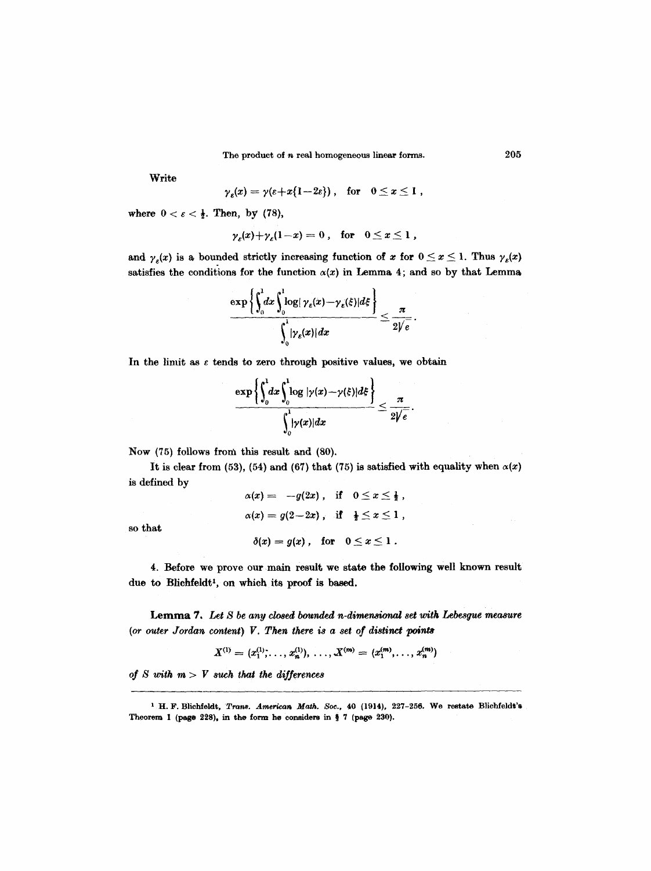The product of *n* real homogeneous linear forms. 205

Write

$$
\gamma_{\varepsilon}(x)=\gamma(\varepsilon+x\{1-2\varepsilon\})\;,\quad \text{for}\quad 0\leq x\leq 1\;,
$$

where  $0 < \varepsilon < \frac{1}{2}$ . Then, by (78),

$$
\gamma_{\varepsilon}(x)+\gamma_{\varepsilon}(1-x)=0\ ,\quad\text{for}\quad 0\leq x\leq 1\ ,
$$

and  $\gamma_{\varepsilon}(x)$  is a bounded strictly increasing function of x for  $0 \le x \le 1$ . Thus  $\gamma_{\varepsilon}(x)$ satisfies the conditions for the function  $\alpha(x)$  in Lemma 4; and so by that Lemma

$$
\frac{\exp\left\{\int_0^1 dx \int_0^1 \log |\gamma_{\varepsilon}(x) - \gamma_{\varepsilon}(\xi)| d\xi \right\}}{\int_0^1 |\gamma_{\varepsilon}(x)| dx} \leq \frac{\pi}{2\sqrt{\varepsilon}}.
$$

In the limit as  $\varepsilon$  tends to zero through positive values, we obtain

$$
\frac{\exp\left\{\int_0^1\!dx\int_0^1\!\!\log|\gamma(x)-\gamma(\xi)|d\xi\right\}}{\int_0^1\!|\gamma(x)|dx}\leq\frac{\pi}{2\sqrt{e}}.
$$

Now (75) follows from this result and (80).

It is clear from (53), (54) and (67) that (75) is satisfied with equality when  $\alpha(x)$ is defined by

> $\alpha(x) = -g(2x)$ , if  $0 \le x \le \frac{1}{2}$ ,  $\alpha(x) = g(2-2x)$ , if  $\frac{1}{2} \leq x \leq 1$ ,  $\delta(x)=g(x)$ , for  $0\leq x\leq 1$ .

so that

4. Before we prove our main result we state the following well known result due to Blichfeldt<sup>1</sup>, on which its proof is based.

Lemma *7, Let S be any closed bounded n-dimensional set with Lebesgue measure (or outer Jordan content) F. Then there is a set of distinct points* 

$$
X^{(1)} = (x_1^{(1)}, \ldots, x_n^{(1)}), \ldots, X^{(m)} = (x_1^{(m)}, \ldots, x_n^{(m)})
$$

*of S with m > V such that the differences* 

<sup>1</sup> H. F. Blichfeldt, *Trans. American Math. Soc.*, 40 (1914), 227-256. We restate Blichfeldt's Theorem 1 (page 228), in the form he considers in § 7 (page 230).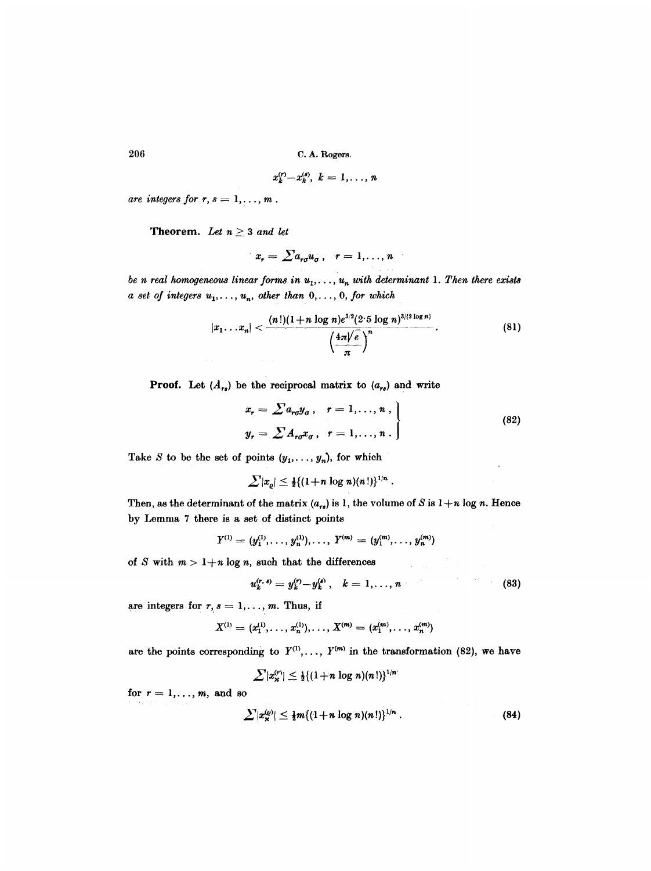$$
x_k^{(r)}-x_k^{(s)},\ k=1,\ldots,n
$$

 $are$  integers for  $r, s = 1, \ldots, m$ .

Theorem. Let  $n \geq 3$  and let

$$
x_r = \sum a_{r\sigma} u_\sigma \,, \quad r = 1, \ldots, n
$$

*be n real homogeneous linear forms in*  $u_1, \ldots, u_n$  with determinant 1. Then there exists  $a$  set of integers  $u_1, \ldots, u_n$ , other than  $0, \ldots, 0$ , for which

$$
|x_1 \dots x_n| < \frac{(n!)(1+n \log n)e^{3/2}(2 \cdot 5 \log n)^{3/(2 \log n)}}{\left(\frac{4\pi\sqrt{e}}{\pi}\right)^n}.
$$
\n(81)

**Proof.** Let  $(A_{rs})$  be the reciprocal matrix to  $(a_{rs})$  and write

$$
x_r = \sum a_{r\sigma} y_{\sigma}, \quad r = 1, \dots, n ,
$$
  

$$
y_r = \sum A_{r\sigma} x_{\sigma}, \quad r = 1, \dots, n .
$$
 (82)

Take S to be the set of points  $(y_1, \ldots, y_n)$ , for which

$$
\sum |x_{\varrho}| \leq \frac{1}{2} \{ (1+n \log n)(n!) \}^{1/n}.
$$

Then, as the determinant of the matrix  $(a_{rs})$  is 1, the volume of S is  $1+n \log n$ . Hence by Lemma 7 there is a set of distinct points

$$
Y^{(1)} = (y_1^{(1)}, \ldots, y_n^{(1)}), \ldots, Y^{(m)} = (y_1^{(m)}, \ldots, y_n^{(m)})
$$

of S with  $m > 1+n \log n$ , such that the differences

$$
u_k^{(r, s)} = y_k^{(r)} - y_k^{(s)}, \quad k = 1, \ldots, n
$$
 (83)

are integers for  $r, s = 1, \ldots, m$ . Thus, if

$$
X^{(1)}=(x_1^{(1)},\ldots,x_n^{(1)}),\ldots,X^{(m)}=(x_1^{(m)},\ldots,x_n^{(m)})
$$

are the points corresponding to  $Y^{(1)}, \ldots, Y^{(m)}$  in the transformation (82), we have

 $\sum |x_{\kappa}^{(r)}| \leq \frac{1}{2} \{ (1+n \log n)(n!) \}^{1/n^2}$ 

for  $r = 1, \ldots, m$ , and so

$$
\sum |x_{\kappa}^{(0)}| \leq \frac{1}{2} m \{ (1+n \log n)(n!) \}^{1/n} . \tag{84}
$$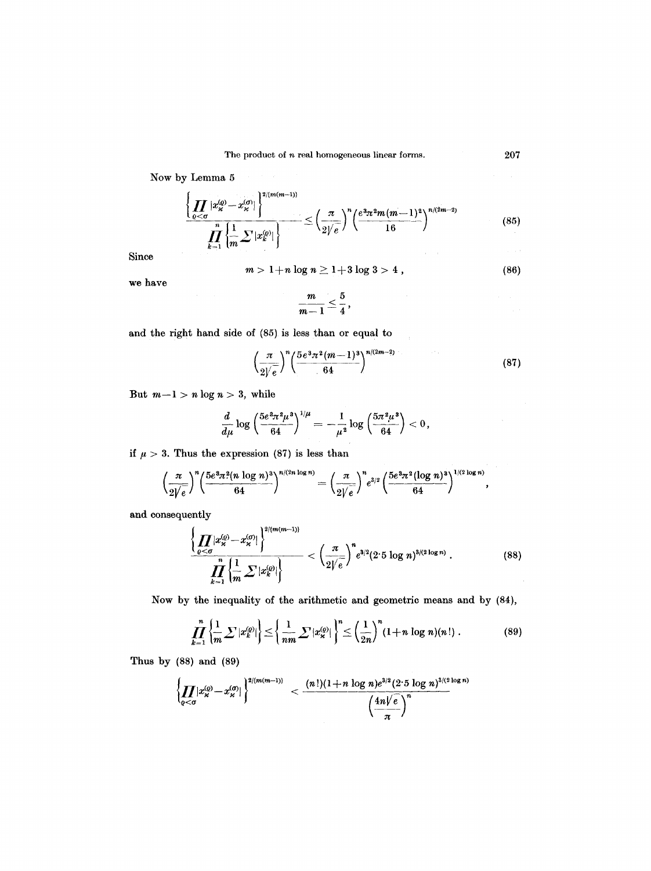Now by Lemma 5

$$
\frac{\left\{\prod_{\varrho<\sigma}|x_{\varkappa}^{(\varrho)}-x_{\varkappa}^{(\sigma)}|\right\}^{2/(m(m-1))}}{\prod_{k=1}^{n}\left\{\frac{1}{m}\sum|x_{k}^{(\varrho)}|\right\}}\leq\left(\frac{\pi}{2/\sqrt{e}}\right)^{n}\left(\frac{e^{3}\pi^{2}m(m-1)^{2}}{16}\right)^{n/(2m-2)}\tag{85}
$$

Since

$$
m>1+n\log n\geq 1+3\log 3>4\ ,\hspace{2.5cm} (86)
$$

we have

$$
\frac{m}{m-1}\leq \frac{5}{4}\,,
$$

 $\mathcal{A}=\mathcal{A}^{\mathrm{c}}$  , where  $\mathcal{A}^{\mathrm{c}}$ 

and the right hand side of (85) is less than or equal to

$$
\left(\frac{\pi}{2\sqrt{e}}\right)^n \left(\frac{5e^3\pi^2(m-1)^3}{64}\right)^{n/(2m-2)}\tag{87}
$$

But  $m-1 > n \log n > 3$ , while

$$
\frac{d}{d\mu}\log\left(\frac{5e^{\textstyle 3\pi^{\textstyle 2}\mu^{\textstyle 3}}}{64}\right)^{1/\mu}=-\frac{1}{\mu^{\textstyle 2}}\log\left(\frac{5\pi^{\textstyle 2}\mu^{\textstyle 3}}{64}\right)<0\,,
$$

if  $\mu > 3$ . Thus the expression (87) is less than

$$
\left(\frac{\pi}{2\sqrt{e}}\right)^n \left(\frac{5e^3\pi^2(n\log n)^3}{64}\right)^{n/(2n\log n)} = \left(\frac{\pi}{2\sqrt{e}}\right)^n e^{3/2} \left(\frac{5e^3\pi^2(\log n)^3}{64}\right)^{1/(2\log n)},
$$

and consequently

$$
\frac{\left\{\prod_{\varrho < \sigma} |x_{\kappa}^{(\varrho)} - x_{\kappa}^{(\sigma)}|\right\}^{2/(m(m-1))}}{\prod_{k=1}^{n} \left\{\frac{1}{m} \sum |x_{k}^{(\varrho)}|\right\}} < \left(\frac{\pi}{2\sqrt{e}}\right)^{n} e^{3/2} (2.5 \log n)^{3/(2 \log n)} . \tag{88}
$$

Now by the inequality of the arithmetic and geometric means and by (84),

$$
\prod_{k=1}^{n} \left\{ \frac{1}{m} \sum |x_k^{(0)}| \right\} \leq \left\{ \frac{1}{nm} \sum |x_\kappa^{(0)}| \right\}^n \leq \left( \frac{1}{2n} \right)^n (1+n \log n)(n!). \tag{89}
$$

Thus by (88) and (89)

$$
\left\{\prod_{\varrho<\sigma}|x_{\varkappa}^{(\varrho)}-x_{\varkappa}^{(\sigma)}|\right\}^{2/(m(m-1))} \leq \frac{(n!)(1+n\log n)e^{3/2}(2\cdot 5\log n)^{3/(2\log n)}}{\left(\frac{4n\sqrt{e}}{\pi}\right)^n}
$$

 $\tau \rightarrow \tau$